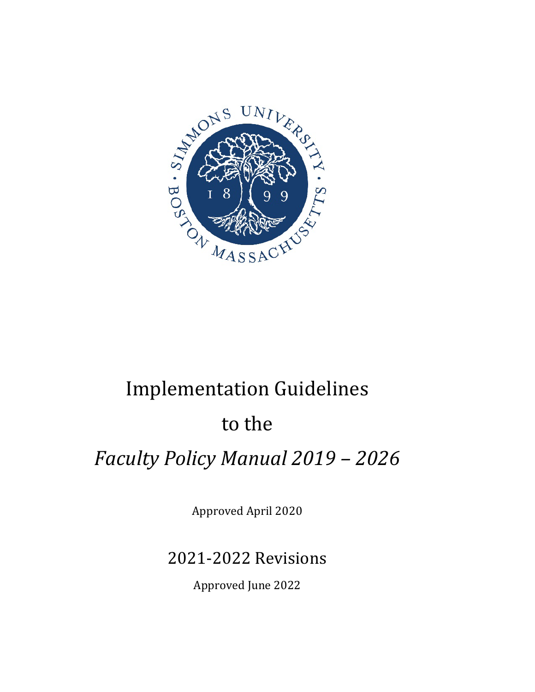

# Implementation Guidelines

## to the

# *Faculty Policy Manual 2019 – 2026*

Approved April 2020

## 2021-2022 Revisions

Approved June 2022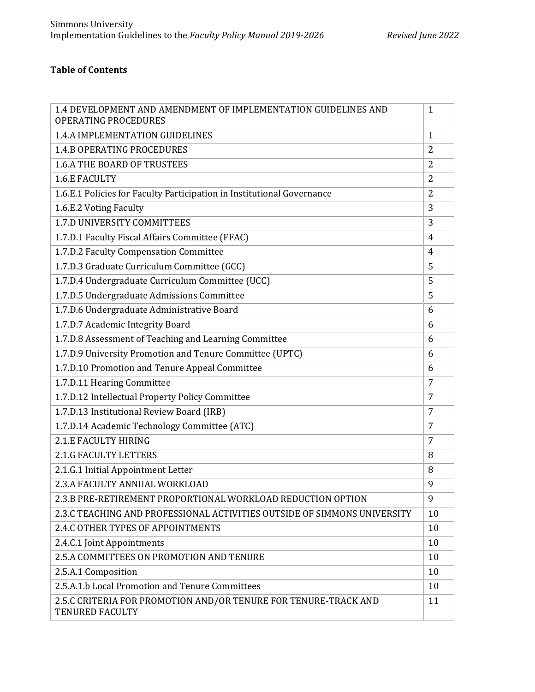## **Table of Contents**

| 1.4 DEVELOPMENT AND AMENDMENT OF IMPLEMENTATION GUIDELINES AND<br><b>OPERATING PROCEDURES</b> | $\mathbf{1}$   |
|-----------------------------------------------------------------------------------------------|----------------|
| <b>1.4.A IMPLEMENTATION GUIDELINES</b>                                                        | $\mathbf{1}$   |
| <b>1.4.B OPERATING PROCEDURES</b>                                                             | $\overline{2}$ |
| <b>1.6.A THE BOARD OF TRUSTEES</b>                                                            | 2              |
| <b>1.6.E FACULTY</b>                                                                          | $\overline{2}$ |
| 1.6.E.1 Policies for Faculty Participation in Institutional Governance                        | $\overline{2}$ |
| 1.6.E.2 Voting Faculty                                                                        | 3              |
| 1.7.D UNIVERSITY COMMITTEES                                                                   | 3              |
| 1.7.D.1 Faculty Fiscal Affairs Committee (FFAC)                                               | 4              |
| 1.7.D.2 Faculty Compensation Committee                                                        | $\overline{4}$ |
| 1.7.D.3 Graduate Curriculum Committee (GCC)                                                   | 5              |
| 1.7.D.4 Undergraduate Curriculum Committee (UCC)                                              | 5              |
| 1.7.D.5 Undergraduate Admissions Committee                                                    | 5              |
| 1.7.D.6 Undergraduate Administrative Board                                                    | 6              |
| 1.7.D.7 Academic Integrity Board                                                              | 6              |
| 1.7.D.8 Assessment of Teaching and Learning Committee                                         | 6              |
| 1.7.D.9 University Promotion and Tenure Committee (UPTC)                                      | 6              |
| 1.7.D.10 Promotion and Tenure Appeal Committee                                                | 6              |
| 1.7.D.11 Hearing Committee                                                                    | 7              |
| 1.7.D.12 Intellectual Property Policy Committee                                               | 7              |
| 1.7.D.13 Institutional Review Board (IRB)                                                     | 7              |
| 1.7.D.14 Academic Technology Committee (ATC)                                                  | 7              |
| 2.1.E FACULTY HIRING                                                                          | 7              |
| <b>2.1.G FACULTY LETTERS</b>                                                                  | 8              |
| 2.1.G.1 Initial Appointment Letter                                                            | 8              |
| 2.3.A FACULTY ANNUAL WORKLOAD                                                                 | 9              |
| 2.3.B PRE-RETIREMENT PROPORTIONAL WORKLOAD REDUCTION OPTION                                   | 9              |
| 2.3.C TEACHING AND PROFESSIONAL ACTIVITIES OUTSIDE OF SIMMONS UNIVERSITY                      | 10             |
| 2.4.C OTHER TYPES OF APPOINTMENTS                                                             | 10             |
| 2.4.C.1 Joint Appointments                                                                    | 10             |
| 2.5.A COMMITTEES ON PROMOTION AND TENURE                                                      | 10             |
| 2.5.A.1 Composition                                                                           | 10             |
| 2.5.A.1.b Local Promotion and Tenure Committees                                               | 10             |
| 2.5.C CRITERIA FOR PROMOTION AND/OR TENURE FOR TENURE-TRACK AND<br><b>TENURED FACULTY</b>     | 11             |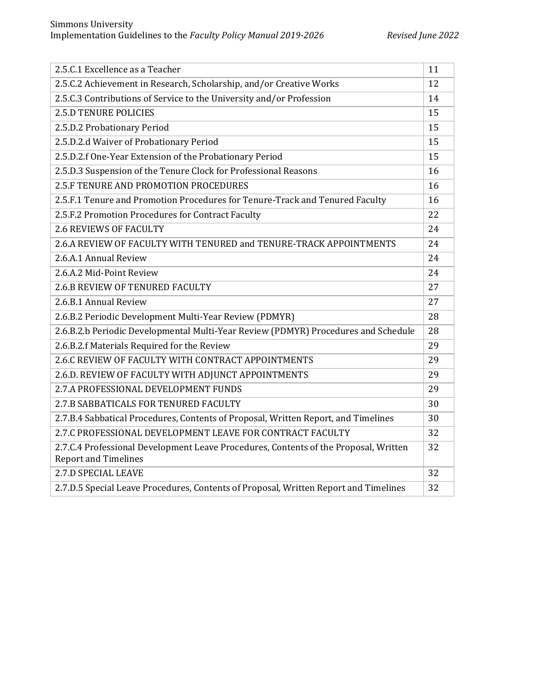| 2.5.C.1 Excellence as a Teacher                                                                                     | 11 |
|---------------------------------------------------------------------------------------------------------------------|----|
| 2.5.C.2 Achievement in Research, Scholarship, and/or Creative Works                                                 | 12 |
| 2.5.C.3 Contributions of Service to the University and/or Profession                                                | 14 |
| <b>2.5.D TENURE POLICIES</b>                                                                                        | 15 |
| 2.5.D.2 Probationary Period                                                                                         | 15 |
| 2.5.D.2.d Waiver of Probationary Period                                                                             | 15 |
| 2.5.D.2.f One-Year Extension of the Probationary Period                                                             | 15 |
| 2.5.D.3 Suspension of the Tenure Clock for Professional Reasons                                                     | 16 |
| <b>2.5.F TENURE AND PROMOTION PROCEDURES</b>                                                                        | 16 |
| 2.5.F.1 Tenure and Promotion Procedures for Tenure-Track and Tenured Faculty                                        | 16 |
| 2.5.F.2 Promotion Procedures for Contract Faculty                                                                   | 22 |
| <b>2.6 REVIEWS OF FACULTY</b>                                                                                       | 24 |
| 2.6.A REVIEW OF FACULTY WITH TENURED and TENURE-TRACK APPOINTMENTS                                                  | 24 |
| 2.6.A.1 Annual Review                                                                                               | 24 |
| 2.6.A.2 Mid-Point Review                                                                                            | 24 |
| 2.6.B REVIEW OF TENURED FACULTY                                                                                     | 27 |
| 2.6.B.1 Annual Review                                                                                               | 27 |
| 2.6.B.2 Periodic Development Multi-Year Review (PDMYR)                                                              | 28 |
| 2.6.B.2.b Periodic Developmental Multi-Year Review (PDMYR) Procedures and Schedule                                  | 28 |
| 2.6.B.2.f Materials Required for the Review                                                                         | 29 |
| 2.6.C REVIEW OF FACULTY WITH CONTRACT APPOINTMENTS                                                                  | 29 |
| 2.6.D. REVIEW OF FACULTY WITH ADJUNCT APPOINTMENTS                                                                  | 29 |
| 2.7.A PROFESSIONAL DEVELOPMENT FUNDS                                                                                | 29 |
| 2.7.B SABBATICALS FOR TENURED FACULTY                                                                               | 30 |
| 2.7.B.4 Sabbatical Procedures, Contents of Proposal, Written Report, and Timelines                                  | 30 |
| 2.7.C PROFESSIONAL DEVELOPMENT LEAVE FOR CONTRACT FACULTY                                                           | 32 |
| 2.7.C.4 Professional Development Leave Procedures, Contents of the Proposal, Written<br><b>Report and Timelines</b> | 32 |
| 2.7.D SPECIAL LEAVE                                                                                                 | 32 |
| 2.7.D.5 Special Leave Procedures, Contents of Proposal, Written Report and Timelines                                | 32 |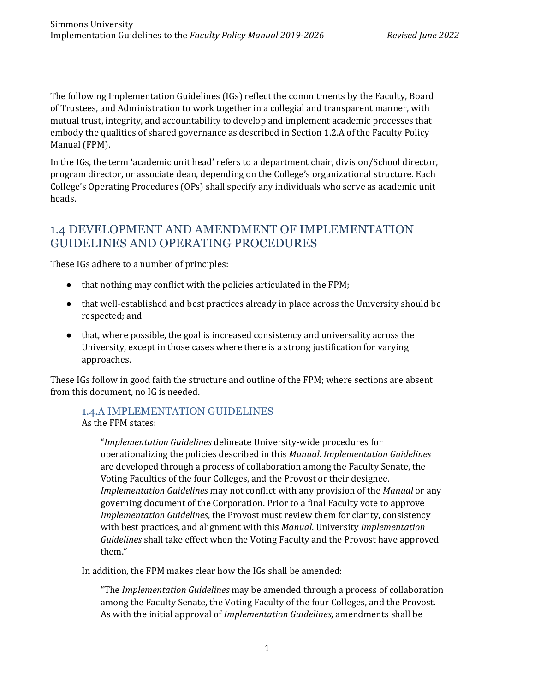The following Implementation Guidelines (IGs) reflect the commitments by the Faculty, Board of Trustees, and Administration to work together in a collegial and transparent manner, with mutual trust, integrity, and accountability to develop and implement academic processes that embody the qualities of shared governance as described in Section 1.2.A of the Faculty Policy Manual (FPM).

In the IGs, the term 'academic unit head' refers to a department chair, division/School director, program director, or associate dean, depending on the College's organizational structure. Each College's Operating Procedures (OPs) shall specify any individuals who serve as academic unit heads.

## 1.4 DEVELOPMENT AND AMENDMENT OF IMPLEMENTATION GUIDELINES AND OPERATING PROCEDURES

These IGs adhere to a number of principles:

- that nothing may conflict with the policies articulated in the FPM;
- that well-established and best practices already in place across the University should be respected; and
- that, where possible, the goal is increased consistency and universality across the University, except in those cases where there is a strong justification for varying approaches.

These IGs follow in good faith the structure and outline of the FPM; where sections are absent from this document, no IG is needed.

## 1.4.A IMPLEMENTATION GUIDELINES

As the FPM states:

"*Implementation Guidelines* delineate University-wide procedures for operationalizing the policies described in this *Manual*. *Implementation Guidelines* are developed through a process of collaboration among the Faculty Senate, the Voting Faculties of the four Colleges, and the Provost or their designee. *Implementation Guidelines* may not conflict with any provision of the *Manual* or any governing document of the Corporation. Prior to a final Faculty vote to approve *Implementation Guidelines*, the Provost must review them for clarity, consistency with best practices, and alignment with this *Manual*. University *Implementation Guidelines* shall take effect when the Voting Faculty and the Provost have approved them."

In addition, the FPM makes clear how the IGs shall be amended:

"The *Implementation Guidelines* may be amended through a process of collaboration among the Faculty Senate, the Voting Faculty of the four Colleges, and the Provost. As with the initial approval of *Implementation Guidelines*, amendments shall be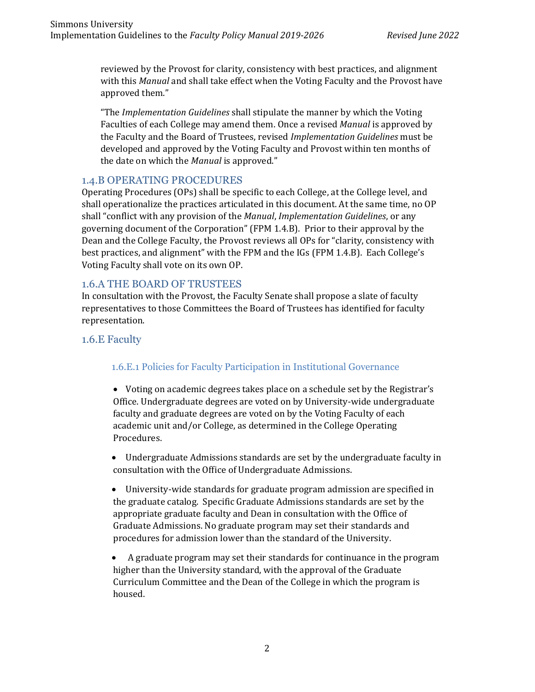reviewed by the Provost for clarity, consistency with best practices, and alignment with this *Manual* and shall take effect when the Voting Faculty and the Provost have approved them."

"The *Implementation Guidelines* shall stipulate the manner by which the Voting Faculties of each College may amend them. Once a revised *Manual* is approved by the Faculty and the Board of Trustees, revised *Implementation Guidelines* must be developed and approved by the Voting Faculty and Provost within ten months of the date on which the *Manual* is approved."

## 1.4.B OPERATING PROCEDURES

Operating Procedures (OPs) shall be specific to each College, at the College level, and shall operationalize the practices articulated in this document. At the same time, no OP shall "conflict with any provision of the *Manual*, *Implementation Guidelines*, or any governing document of the Corporation" (FPM 1.4.B). Prior to their approval by the Dean and the College Faculty, the Provost reviews all OPs for "clarity, consistency with best practices, and alignment" with the FPM and the IGs (FPM 1.4.B). Each College's Voting Faculty shall vote on its own OP.

## 1.6.A THE BOARD OF TRUSTEES

In consultation with the Provost, the Faculty Senate shall propose a slate of faculty representatives to those Committees the Board of Trustees has identified for faculty representation.

## 1.6.E Faculty

## 1.6.E.1 Policies for Faculty Participation in Institutional Governance

• Voting on academic degrees takes place on a schedule set by the Registrar's Office. Undergraduate degrees are voted on by University-wide undergraduate faculty and graduate degrees are voted on by the Voting Faculty of each academic unit and/or College, as determined in the College Operating Procedures.

• Undergraduate Admissions standards are set by the undergraduate faculty in consultation with the Office of Undergraduate Admissions.

• University-wide standards for graduate program admission are specified in the graduate catalog. Specific Graduate Admissions standards are set by the appropriate graduate faculty and Dean in consultation with the Office of Graduate Admissions. No graduate program may set their standards and procedures for admission lower than the standard of the University.

• A graduate program may set their standards for continuance in the program higher than the University standard, with the approval of the Graduate Curriculum Committee and the Dean of the College in which the program is housed.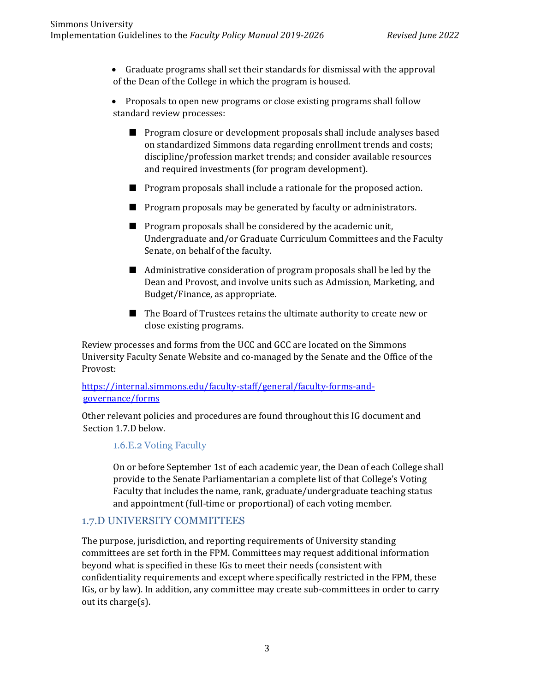• Graduate programs shall set their standards for dismissal with the approval of the Dean of the College in which the program is housed.

• Proposals to open new programs or close existing programs shall follow standard review processes:

- Program closure or development proposals shall include analyses based on standardized Simmons data regarding enrollment trends and costs; discipline/profession market trends; and consider available resources and required investments (for program development).
- Program proposals shall include a rationale for the proposed action.
- Program proposals may be generated by faculty or administrators.
- Program proposals shall be considered by the academic unit, Undergraduate and/or Graduate Curriculum Committees and the Faculty Senate, on behalf of the faculty.
- Administrative consideration of program proposals shall be led by the Dean and Provost, and involve units such as Admission, Marketing, and Budget/Finance, as appropriate.
- The Board of Trustees retains the ultimate authority to create new or close existing programs.

Review processes and forms from the UCC and GCC are located on the Simmons University Faculty Senate Website and co-managed by the Senate and the Office of the Provost:

## [https://internal.simmons.edu/faculty-staff/general/faculty-forms-and](https://internal.simmons.edu/faculty-staff/general/faculty-forms-and-governance/forms)[governance/forms](https://internal.simmons.edu/faculty-staff/general/faculty-forms-and-governance/forms)

Other relevant policies and procedures are found throughout this IG document and Section 1.7.D below.

## 1.6.E.2 Voting Faculty

On or before September 1st of each academic year, the Dean of each College shall provide to the Senate Parliamentarian a complete list of that College's Voting Faculty that includes the name, rank, graduate/undergraduate teaching status and appointment (full-time or proportional) of each voting member.

## 1.7.D UNIVERSITY COMMITTEES

The purpose, jurisdiction, and reporting requirements of University standing committees are set forth in the FPM. Committees may request additional information beyond what is specified in these IGs to meet their needs (consistent with confidentiality requirements and except where specifically restricted in the FPM, these IGs, or by law). In addition, any committee may create sub-committees in order to carry out its charge(s).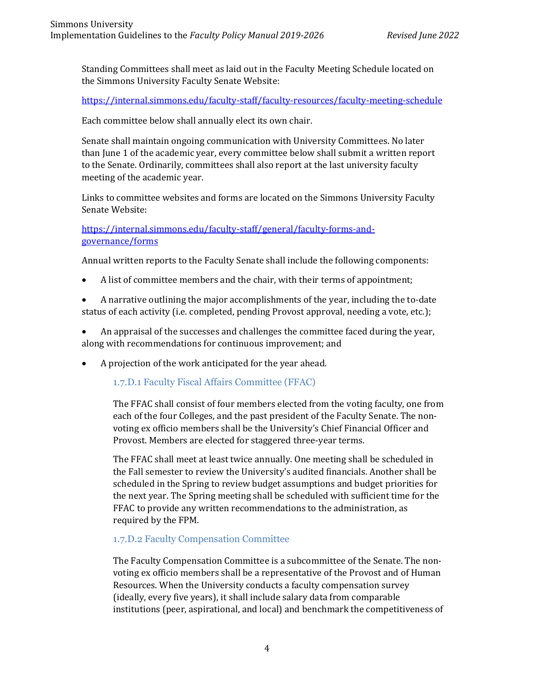Standing Committees shall meet as laid out in the Faculty Meeting Schedule located on the Simmons University Faculty Senate Website:

<https://internal.simmons.edu/faculty-staff/faculty-resources/faculty-meeting-schedule>

Each committee below shall annually elect its own chair.

Senate shall maintain ongoing communication with University Committees. No later than June 1 of the academic year, every committee below shall submit a written report to the Senate. Ordinarily, committees shall also report at the last university faculty meeting of the academic year.

Links to committee websites and forms are located on the Simmons University Faculty Senate Website:

[https://internal.simmons.edu/faculty-staff/general/faculty-forms-and](https://internal.simmons.edu/faculty-staff/general/faculty-forms-and-governance/forms)[governance/forms](https://internal.simmons.edu/faculty-staff/general/faculty-forms-and-governance/forms)

Annual written reports to the Faculty Senate shall include the following components:

- A list of committee members and the chair, with their terms of appointment;
- A narrative outlining the major accomplishments of the year, including the to-date status of each activity (i.e. completed, pending Provost approval, needing a vote, etc.);
- An appraisal of the successes and challenges the committee faced during the year, along with recommendations for continuous improvement; and
- A projection of the work anticipated for the year ahead.

1.7.D.1 Faculty Fiscal Affairs Committee (FFAC)

The FFAC shall consist of four members elected from the voting faculty, one from each of the four Colleges, and the past president of the Faculty Senate. The nonvoting ex officio members shall be the University's Chief Financial Officer and Provost. Members are elected for staggered three-year terms.

The FFAC shall meet at least twice annually. One meeting shall be scheduled in the Fall semester to review the University's audited financials. Another shall be scheduled in the Spring to review budget assumptions and budget priorities for the next year. The Spring meeting shall be scheduled with sufficient time for the FFAC to provide any written recommendations to the administration, as required by the FPM.

#### 1.7.D.2 Faculty Compensation Committee

The Faculty Compensation Committee is a subcommittee of the Senate. The nonvoting ex officio members shall be a representative of the Provost and of Human Resources. When the University conducts a faculty compensation survey (ideally, every five years), it shall include salary data from comparable institutions (peer, aspirational, and local) and benchmark the competitiveness of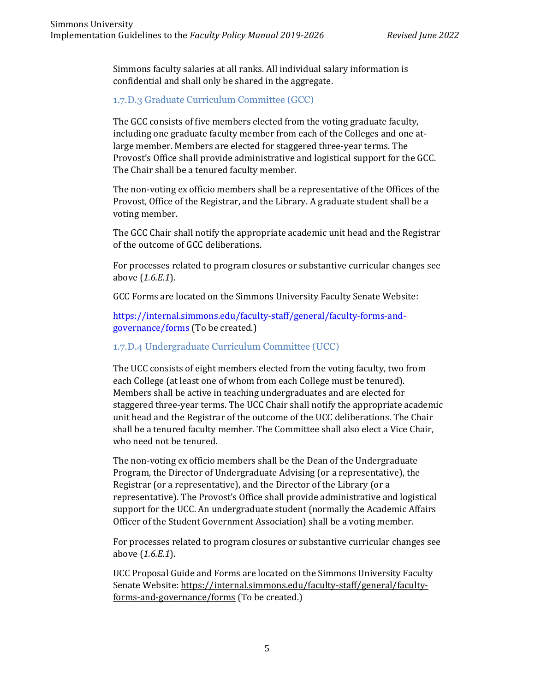Simmons faculty salaries at all ranks. All individual salary information is confidential and shall only be shared in the aggregate.

1.7.D.3 Graduate Curriculum Committee (GCC)

The GCC consists of five members elected from the voting graduate faculty, including one graduate faculty member from each of the Colleges and one atlarge member. Members are elected for staggered three-year terms. The Provost's Office shall provide administrative and logistical support for the GCC. The Chair shall be a tenured faculty member.

The non-voting ex officio members shall be a representative of the Offices of the Provost, Office of the Registrar, and the Library. A graduate student shall be a voting member.

The GCC Chair shall notify the appropriate academic unit head and the Registrar of the outcome of GCC deliberations.

For processes related to program closures or substantive curricular changes see above (*1.6.E.1*).

GCC Forms are located on the Simmons University Faculty Senate Website:

[https://internal.simmons.edu/faculty-staff/general/faculty-forms-and](https://internal.simmons.edu/faculty-staff/general/faculty-forms-and-governance/forms)[governance/forms](https://internal.simmons.edu/faculty-staff/general/faculty-forms-and-governance/forms) (To be created.)

## 1.7.D.4 Undergraduate Curriculum Committee (UCC)

The UCC consists of eight members elected from the voting faculty, two from each College (at least one of whom from each College must be tenured). Members shall be active in teaching undergraduates and are elected for staggered three-year terms. The UCC Chair shall notify the appropriate academic unit head and the Registrar of the outcome of the UCC deliberations. The Chair shall be a tenured faculty member. The Committee shall also elect a Vice Chair, who need not be tenured.

The non-voting ex officio members shall be the Dean of the Undergraduate Program, the Director of Undergraduate Advising (or a representative), the Registrar (or a representative), and the Director of the Library (or a representative). The Provost's Office shall provide administrative and logistical support for the UCC. An undergraduate student (normally the Academic Affairs Officer of the Student Government Association) shall be a voting member.

For processes related to program closures or substantive curricular changes see above (*1.6.E.1*).

UCC Proposal Guide and Forms are located on the Simmons University Faculty Senate Website: [https://internal.simmons.edu/faculty-staff/general/faculty](https://internal.simmons.edu/faculty-staff/general/faculty-forms-and-governance/forms)[forms-and-governance/forms](https://internal.simmons.edu/faculty-staff/general/faculty-forms-and-governance/forms) (To be created.)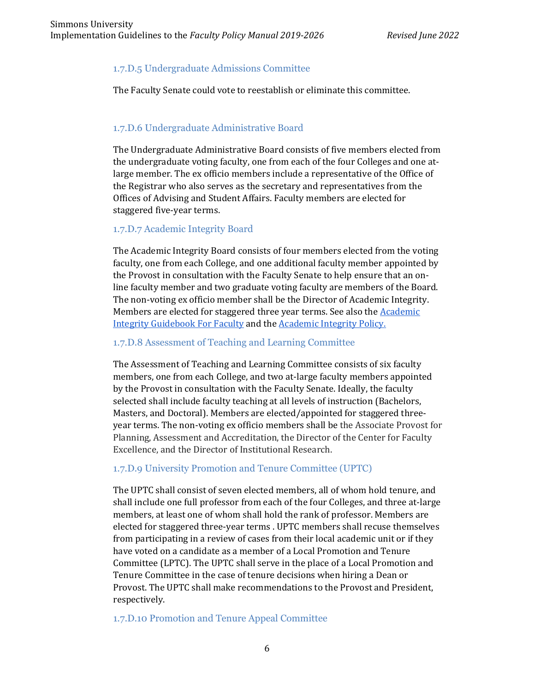## 1.7.D.5 Undergraduate Admissions Committee

The Faculty Senate could vote to reestablish or eliminate this committee.

## 1.7.D.6 Undergraduate Administrative Board

The Undergraduate Administrative Board consists of five members elected from the undergraduate voting faculty, one from each of the four Colleges and one atlarge member. The ex officio members include a representative of the Office of the Registrar who also serves as the secretary and representatives from the Offices of Advising and Student Affairs. Faculty members are elected for staggered five-year terms.

#### 1.7.D.7 Academic Integrity Board

The Academic Integrity Board consists of four members elected from the voting faculty, one from each College, and one additional faculty member appointed by the Provost in consultation with the Faculty Senate to help ensure that an online faculty member and two graduate voting faculty are members of the Board. The non-voting ex officio member shall be the Director of Academic Integrity. Members are elected for staggered three year terms. See also the **Academic** [Integrity Guidebook For Faculty](https://drive.google.com/file/d/0ByH94LHA1PZ2UGpvTDVnbGZ6Vk5DdTU3SGU4UmJINk9RdWQw/view?usp=sharing) and th[e Academic Integrity Policy.](https://drive.google.com/file/d/0ByH94LHA1PZ2MTZqWGRrQzQ4MTQxdUlsS3Z4UklmMmI2cVZZ/view?usp=sharing)

#### 1.7.D.8 Assessment of Teaching and Learning Committee

The Assessment of Teaching and Learning Committee consists of six faculty members, one from each College, and two at-large faculty members appointed by the Provost in consultation with the Faculty Senate. Ideally, the faculty selected shall include faculty teaching at all levels of instruction (Bachelors, Masters, and Doctoral). Members are elected/appointed for staggered threeyear terms. The non-voting ex officio members shall be the Associate Provost for Planning, Assessment and Accreditation, the Director of the Center for Faculty Excellence, and the Director of Institutional Research.

## 1.7.D.9 University Promotion and Tenure Committee (UPTC)

The UPTC shall consist of seven elected members, all of whom hold tenure, and shall include one full professor from each of the four Colleges, and three at-large members, at least one of whom shall hold the rank of professor. Members are elected for staggered three-year terms . UPTC members shall recuse themselves from participating in a review of cases from their local academic unit or if they have voted on a candidate as a member of a Local Promotion and Tenure Committee (LPTC). The UPTC shall serve in the place of a Local Promotion and Tenure Committee in the case of tenure decisions when hiring a Dean or Provost. The UPTC shall make recommendations to the Provost and President, respectively.

#### 1.7.D.10 Promotion and Tenure Appeal Committee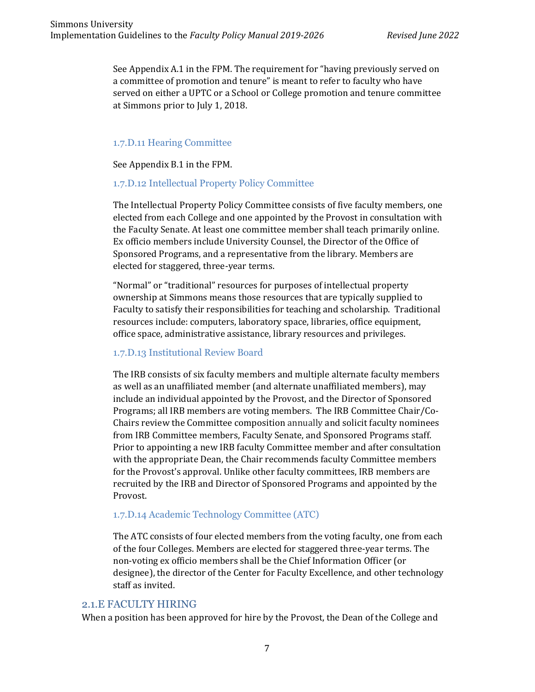See Appendix A.1 in the FPM. The requirement for "having previously served on a committee of promotion and tenure" is meant to refer to faculty who have served on either a UPTC or a School or College promotion and tenure committee at Simmons prior to July 1, 2018.

#### 1.7.D.11 Hearing Committee

See Appendix B.1 in the FPM.

## 1.7.D.12 Intellectual Property Policy Committee

The Intellectual Property Policy Committee consists of five faculty members, one elected from each College and one appointed by the Provost in consultation with the Faculty Senate. At least one committee member shall teach primarily online. Ex officio members include University Counsel, the Director of the Office of Sponsored Programs, and a representative from the library. Members are elected for staggered, three-year terms.

"Normal" or "traditional" resources for purposes of intellectual property ownership at Simmons means those resources that are typically supplied to Faculty to satisfy their responsibilities for teaching and scholarship. Traditional resources include: computers, laboratory space, libraries, office equipment, office space, administrative assistance, library resources and privileges.

#### 1.7.D.13 Institutional Review Board

The IRB consists of six faculty members and multiple alternate faculty members as well as an unaffiliated member (and alternate unaffiliated members), may include an individual appointed by the Provost, and the Director of Sponsored Programs; all IRB members are voting members. The IRB Committee Chair/Co-Chairs review the Committee composition annually and solicit faculty nominees from IRB Committee members, Faculty Senate, and Sponsored Programs staff. Prior to appointing a new IRB faculty Committee member and after consultation with the appropriate Dean, the Chair recommends faculty Committee members for the Provost's approval. Unlike other faculty committees, IRB members are recruited by the IRB and Director of Sponsored Programs and appointed by the Provost.

## 1.7.D.14 Academic Technology Committee (ATC)

The ATC consists of four elected members from the voting faculty, one from each of the four Colleges. Members are elected for staggered three-year terms. The non-voting ex officio members shall be the Chief Information Officer (or designee), the director of the Center for Faculty Excellence, and other technology staff as invited.

#### 2.1.E FACULTY HIRING

When a position has been approved for hire by the Provost, the Dean of the College and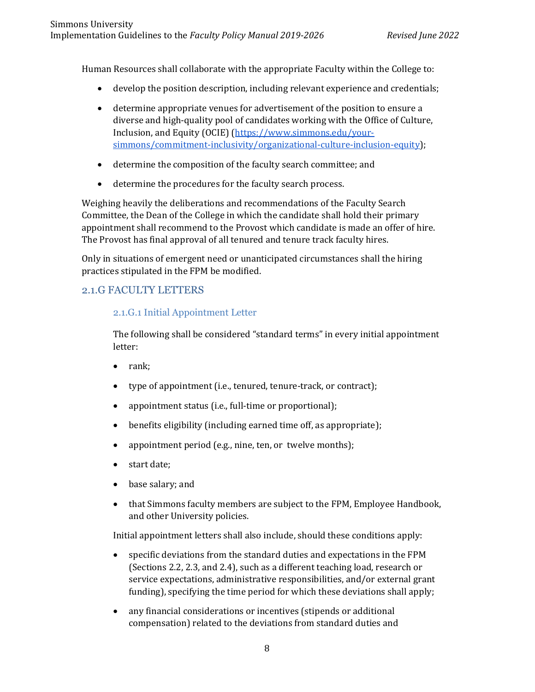Human Resources shall collaborate with the appropriate Faculty within the College to:

- develop the position description, including relevant experience and credentials;
- determine appropriate venues for advertisement of the position to ensure a diverse and high-quality pool of candidates working with the Office of Culture, Inclusion, and Equity (OCIE) [\(https://www.simmons.edu/your](https://www.simmons.edu/your-simmons/commitment-inclusivity/organizational-culture-inclusion-equity)[simmons/commitment-inclusivity/organizational-culture-inclusion-equity\)](https://www.simmons.edu/your-simmons/commitment-inclusivity/organizational-culture-inclusion-equity);
- determine the composition of the faculty search committee; and
- determine the procedures for the faculty search process.

Weighing heavily the deliberations and recommendations of the Faculty Search Committee, the Dean of the College in which the candidate shall hold their primary appointment shall recommend to the Provost which candidate is made an offer of hire. The Provost has final approval of all tenured and tenure track faculty hires.

Only in situations of emergent need or unanticipated circumstances shall the hiring practices stipulated in the FPM be modified.

## 2.1.G FACULTY LETTERS

## 2.1.G.1 Initial Appointment Letter

The following shall be considered "standard terms" in every initial appointment letter:

- rank;
- type of appointment (i.e., tenured, tenure-track, or contract);
- appointment status (i.e., full-time or proportional);
- benefits eligibility (including earned time off, as appropriate);
- appointment period (e.g., nine, ten, or twelve months);
- start date;
- base salary; and
- that Simmons faculty members are subject to the FPM, Employee Handbook, and other University policies.

Initial appointment letters shall also include, should these conditions apply:

- specific deviations from the standard duties and expectations in the FPM (Sections 2.2, 2.3, and 2.4), such as a different teaching load, research or service expectations, administrative responsibilities, and/or external grant funding), specifying the time period for which these deviations shall apply;
- any financial considerations or incentives (stipends or additional compensation) related to the deviations from standard duties and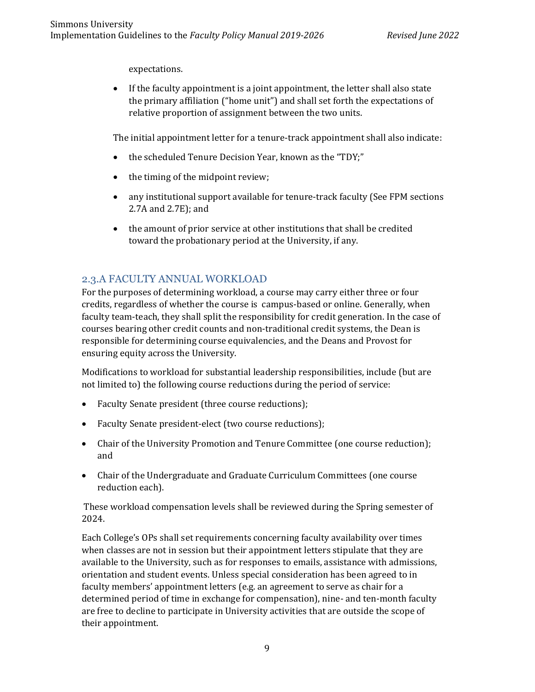expectations.

• If the faculty appointment is a joint appointment, the letter shall also state the primary affiliation ("home unit") and shall set forth the expectations of relative proportion of assignment between the two units.

The initial appointment letter for a tenure-track appointment shall also indicate:

- the scheduled Tenure Decision Year, known as the "TDY;"
- the timing of the midpoint review;
- any institutional support available for tenure-track faculty (See FPM sections 2.7A and 2.7E); and
- the amount of prior service at other institutions that shall be credited toward the probationary period at the University, if any.

## 2.3.A FACULTY ANNUAL WORKLOAD

For the purposes of determining workload, a course may carry either three or four credits, regardless of whether the course is campus-based or online. Generally, when faculty team-teach, they shall split the responsibility for credit generation. In the case of courses bearing other credit counts and non-traditional credit systems, the Dean is responsible for determining course equivalencies, and the Deans and Provost for ensuring equity across the University.

Modifications to workload for substantial leadership responsibilities, include (but are not limited to) the following course reductions during the period of service:

- Faculty Senate president (three course reductions);
- Faculty Senate president-elect (two course reductions);
- Chair of the University Promotion and Tenure Committee (one course reduction); and
- Chair of the Undergraduate and Graduate Curriculum Committees (one course reduction each).

These workload compensation levels shall be reviewed during the Spring semester of 2024.

Each College's OPs shall set requirements concerning faculty availability over times when classes are not in session but their appointment letters stipulate that they are available to the University, such as for responses to emails, assistance with admissions, orientation and student events. Unless special consideration has been agreed to in faculty members' appointment letters (e.g. an agreement to serve as chair for a determined period of time in exchange for compensation), nine- and ten-month faculty are free to decline to participate in University activities that are outside the scope of their appointment.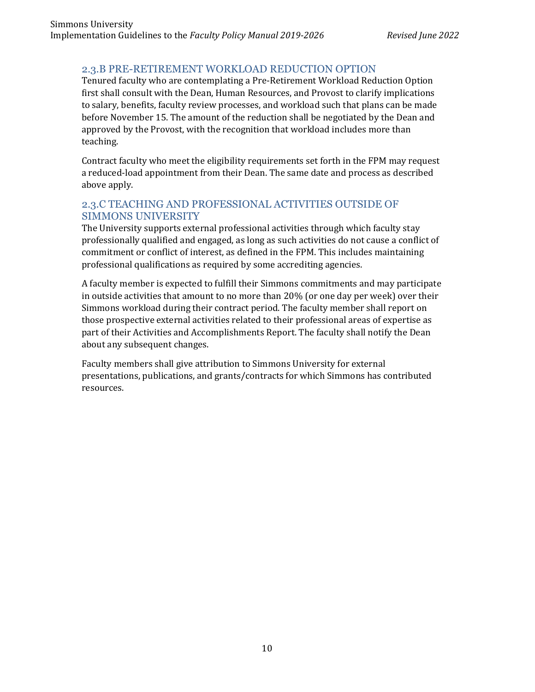## 2.3.B PRE-RETIREMENT WORKLOAD REDUCTION OPTION

Tenured faculty who are contemplating a Pre-Retirement Workload Reduction Option first shall consult with the Dean, Human Resources, and Provost to clarify implications to salary, benefits, faculty review processes, and workload such that plans can be made before November 15. The amount of the reduction shall be negotiated by the Dean and approved by the Provost, with the recognition that workload includes more than teaching.

Contract faculty who meet the eligibility requirements set forth in the FPM may request a reduced-load appointment from their Dean. The same date and process as described above apply.

## 2.3.C TEACHING AND PROFESSIONAL ACTIVITIES OUTSIDE OF SIMMONS UNIVERSITY

The University supports external professional activities through which faculty stay professionally qualified and engaged, as long as such activities do not cause a conflict of commitment or conflict of interest, as defined in the FPM. This includes maintaining professional qualifications as required by some accrediting agencies.

A faculty member is expected to fulfill their Simmons commitments and may participate in outside activities that amount to no more than 20% (or one day per week) over their Simmons workload during their contract period. The faculty member shall report on those prospective external activities related to their professional areas of expertise as part of their Activities and Accomplishments Report. The faculty shall notify the Dean about any subsequent changes.

Faculty members shall give attribution to Simmons University for external presentations, publications, and grants/contracts for which Simmons has contributed resources.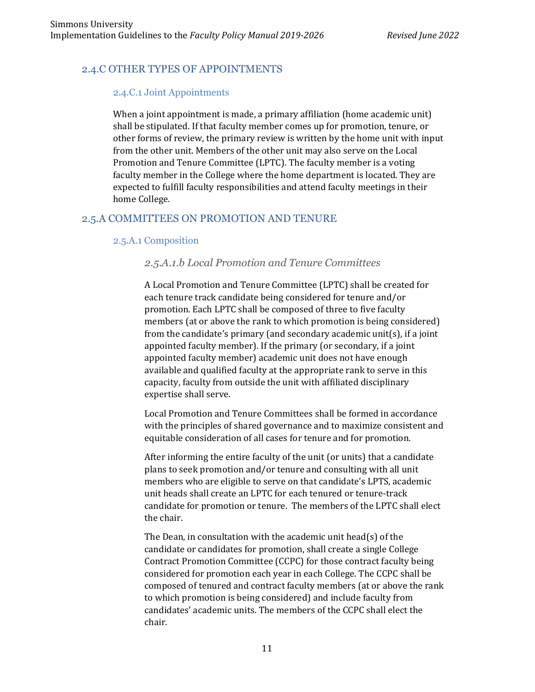## 2.4.C OTHER TYPES OF APPOINTMENTS

#### 2.4.C.1 Joint Appointments

When a joint appointment is made, a primary affiliation (home academic unit) shall be stipulated. If that faculty member comes up for promotion, tenure, or other forms of review, the primary review is written by the home unit with input from the other unit. Members of the other unit may also serve on the Local Promotion and Tenure Committee (LPTC). The faculty member is a voting faculty member in the College where the home department is located. They are expected to fulfill faculty responsibilities and attend faculty meetings in their home College.

## 2.5.A COMMITTEES ON PROMOTION AND TENURE

## 2.5.A.1 Composition

## *2.5.A.1.b Local Promotion and Tenure Committees*

A Local Promotion and Tenure Committee (LPTC) shall be created for each tenure track candidate being considered for tenure and/or promotion. Each LPTC shall be composed of three to five faculty members (at or above the rank to which promotion is being considered) from the candidate's primary (and secondary academic unit(s), if a joint appointed faculty member). If the primary (or secondary, if a joint appointed faculty member) academic unit does not have enough available and qualified faculty at the appropriate rank to serve in this capacity, faculty from outside the unit with affiliated disciplinary expertise shall serve.

Local Promotion and Tenure Committees shall be formed in accordance with the principles of shared governance and to maximize consistent and equitable consideration of all cases for tenure and for promotion.

After informing the entire faculty of the unit (or units) that a candidate plans to seek promotion and/or tenure and consulting with all unit members who are eligible to serve on that candidate's LPTS, academic unit heads shall create an LPTC for each tenured or tenure-track candidate for promotion or tenure. The members of the LPTC shall elect the chair.

The Dean, in consultation with the academic unit head(s) of the candidate or candidates for promotion, shall create a single College Contract Promotion Committee (CCPC) for those contract faculty being considered for promotion each year in each College. The CCPC shall be composed of tenured and contract faculty members (at or above the rank to which promotion is being considered) and include faculty from candidates' academic units. The members of the CCPC shall elect the chair.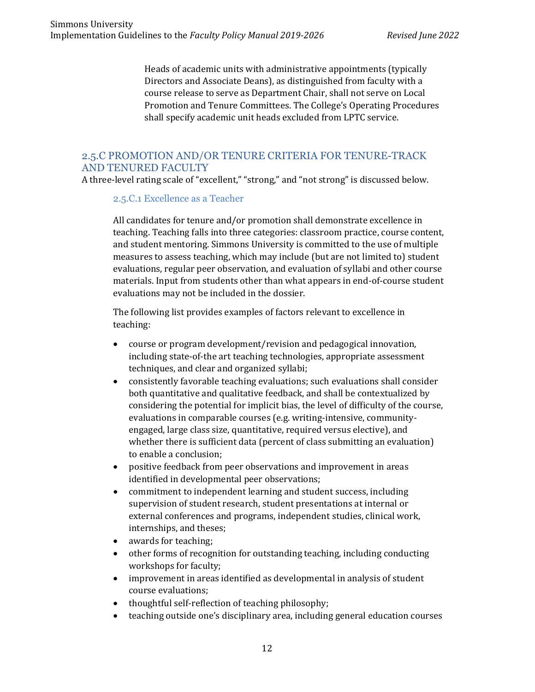Heads of academic units with administrative appointments (typically Directors and Associate Deans), as distinguished from faculty with a course release to serve as Department Chair, shall not serve on Local Promotion and Tenure Committees. The College's Operating Procedures shall specify academic unit heads excluded from LPTC service.

## 2.5.C PROMOTION AND/OR TENURE CRITERIA FOR TENURE-TRACK AND TENURED FACULTY

A three-level rating scale of "excellent," "strong," and "not strong" is discussed below.

#### 2.5.C.1 Excellence as a Teacher

All candidates for tenure and/or promotion shall demonstrate excellence in teaching. Teaching falls into three categories: classroom practice, course content, and student mentoring. Simmons University is committed to the use of multiple measures to assess teaching, which may include (but are not limited to) student evaluations, regular peer observation, and evaluation of syllabi and other course materials. Input from students other than what appears in end-of-course student evaluations may not be included in the dossier.

The following list provides examples of factors relevant to excellence in teaching:

- course or program development/revision and pedagogical innovation, including state-of-the art teaching technologies, appropriate assessment techniques, and clear and organized syllabi;
- consistently favorable teaching evaluations; such evaluations shall consider both quantitative and qualitative feedback, and shall be contextualized by considering the potential for implicit bias, the level of difficulty of the course, evaluations in comparable courses (e.g. writing-intensive, communityengaged, large class size, quantitative, required versus elective), and whether there is sufficient data (percent of class submitting an evaluation) to enable a conclusion;
- positive feedback from peer observations and improvement in areas identified in developmental peer observations;
- commitment to independent learning and student success, including supervision of student research, student presentations at internal or external conferences and programs, independent studies, clinical work, internships, and theses;
- awards for teaching;
- other forms of recognition for outstanding teaching, including conducting workshops for faculty;
- improvement in areas identified as developmental in analysis of student course evaluations;
- thoughtful self-reflection of teaching philosophy;
- teaching outside one's disciplinary area, including general education courses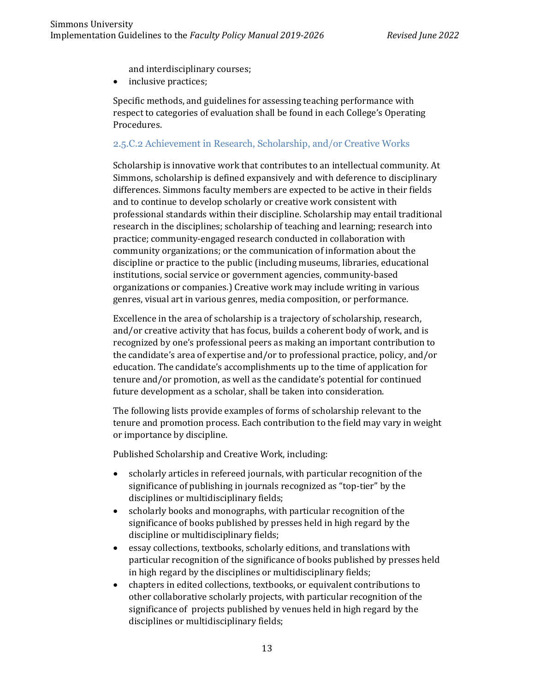and interdisciplinary courses;

• inclusive practices;

Specific methods, and guidelines for assessing teaching performance with respect to categories of evaluation shall be found in each College's Operating Procedures.

#### 2.5.C.2 Achievement in Research, Scholarship, and/or Creative Works

Scholarship is innovative work that contributes to an intellectual community. At Simmons, scholarship is defined expansively and with deference to disciplinary differences. Simmons faculty members are expected to be active in their fields and to continue to develop scholarly or creative work consistent with professional standards within their discipline. Scholarship may entail traditional research in the disciplines; scholarship of teaching and learning; research into practice; community-engaged research conducted in collaboration with community organizations; or the communication of information about the discipline or practice to the public (including museums, libraries, educational institutions, social service or government agencies, community-based organizations or companies.) Creative work may include writing in various genres, visual art in various genres, media composition, or performance.

Excellence in the area of scholarship is a trajectory of scholarship, research, and/or creative activity that has focus, builds a coherent body of work, and is recognized by one's professional peers as making an important contribution to the candidate's area of expertise and/or to professional practice, policy, and/or education. The candidate's accomplishments up to the time of application for tenure and/or promotion, as well as the candidate's potential for continued future development as a scholar, shall be taken into consideration.

The following lists provide examples of forms of scholarship relevant to the tenure and promotion process. Each contribution to the field may vary in weight or importance by discipline.

Published Scholarship and Creative Work, including:

- scholarly articles in refereed journals, with particular recognition of the significance of publishing in journals recognized as "top-tier" by the disciplines or multidisciplinary fields;
- scholarly books and monographs, with particular recognition of the significance of books published by presses held in high regard by the discipline or multidisciplinary fields;
- essay collections, textbooks, scholarly editions, and translations with particular recognition of the significance of books published by presses held in high regard by the disciplines or multidisciplinary fields;
- chapters in edited collections, textbooks, or equivalent contributions to other collaborative scholarly projects, with particular recognition of the significance of projects published by venues held in high regard by the disciplines or multidisciplinary fields;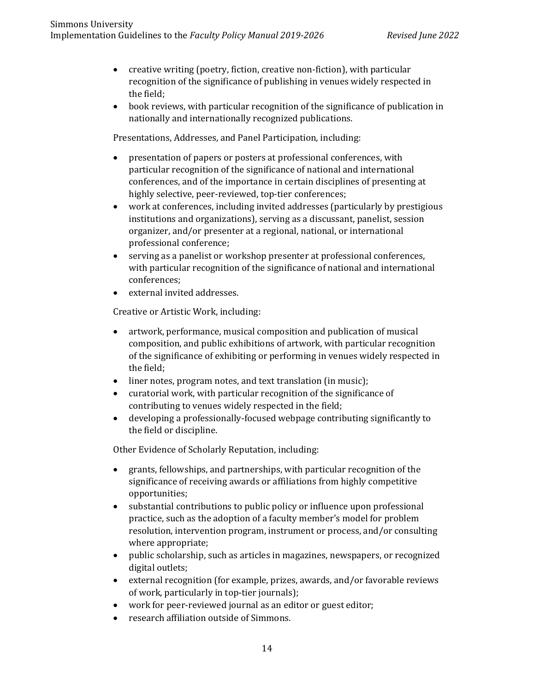- creative writing (poetry, fiction, creative non-fiction), with particular recognition of the significance of publishing in venues widely respected in the field;
- book reviews, with particular recognition of the significance of publication in nationally and internationally recognized publications.

Presentations, Addresses, and Panel Participation, including:

- presentation of papers or posters at professional conferences, with particular recognition of the significance of national and international conferences, and of the importance in certain disciplines of presenting at highly selective, peer-reviewed, top-tier conferences;
- work at conferences, including invited addresses (particularly by prestigious institutions and organizations), serving as a discussant, panelist, session organizer, and/or presenter at a regional, national, or international professional conference;
- serving as a panelist or workshop presenter at professional conferences, with particular recognition of the significance of national and international conferences;
- external invited addresses.

Creative or Artistic Work, including:

- artwork, performance, musical composition and publication of musical composition, and public exhibitions of artwork, with particular recognition of the significance of exhibiting or performing in venues widely respected in the field;
- liner notes, program notes, and text translation (in music);
- curatorial work, with particular recognition of the significance of contributing to venues widely respected in the field;
- developing a professionally-focused webpage contributing significantly to the field or discipline.

Other Evidence of Scholarly Reputation, including:

- grants, fellowships, and partnerships, with particular recognition of the significance of receiving awards or affiliations from highly competitive opportunities;
- substantial contributions to public policy or influence upon professional practice, such as the adoption of a faculty member's model for problem resolution, intervention program, instrument or process, and/or consulting where appropriate;
- public scholarship, such as articles in magazines, newspapers, or recognized digital outlets;
- external recognition (for example, prizes, awards, and/or favorable reviews of work, particularly in top-tier journals);
- work for peer-reviewed journal as an editor or guest editor;
- research affiliation outside of Simmons.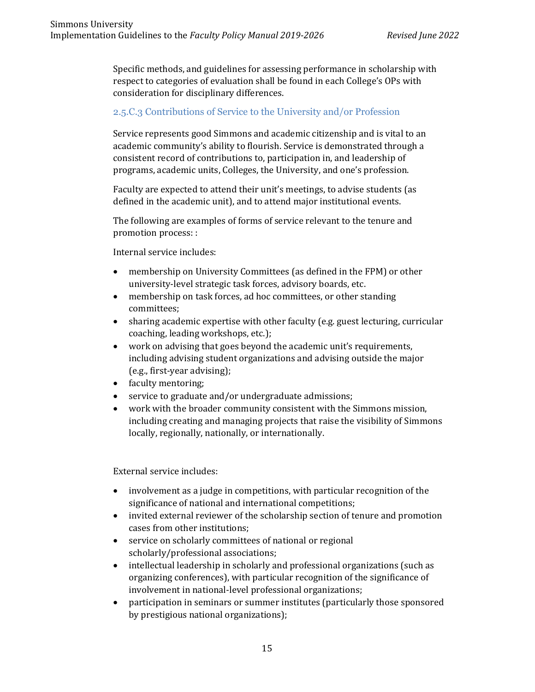Specific methods, and guidelines for assessing performance in scholarship with respect to categories of evaluation shall be found in each College's OPs with consideration for disciplinary differences.

## 2.5.C.3 Contributions of Service to the University and/or Profession

Service represents good Simmons and academic citizenship and is vital to an academic community's ability to flourish. Service is demonstrated through a consistent record of contributions to, participation in, and leadership of programs, academic units, Colleges, the University, and one's profession.

Faculty are expected to attend their unit's meetings, to advise students (as defined in the academic unit), and to attend major institutional events.

The following are examples of forms of service relevant to the tenure and promotion process: :

Internal service includes:

- membership on University Committees (as defined in the FPM) or other university-level strategic task forces, advisory boards, etc.
- membership on task forces, ad hoc committees, or other standing committees;
- sharing academic expertise with other faculty (e.g. guest lecturing, curricular coaching, leading workshops, etc.);
- work on advising that goes beyond the academic unit's requirements, including advising student organizations and advising outside the major (e.g., first-year advising);
- faculty mentoring;
- service to graduate and/or undergraduate admissions;
- work with the broader community consistent with the Simmons mission, including creating and managing projects that raise the visibility of Simmons locally, regionally, nationally, or internationally.

External service includes:

- involvement as a judge in competitions, with particular recognition of the significance of national and international competitions;
- invited external reviewer of the scholarship section of tenure and promotion cases from other institutions;
- service on scholarly committees of national or regional scholarly/professional associations;
- intellectual leadership in scholarly and professional organizations (such as organizing conferences), with particular recognition of the significance of involvement in national-level professional organizations;
- participation in seminars or summer institutes (particularly those sponsored by prestigious national organizations);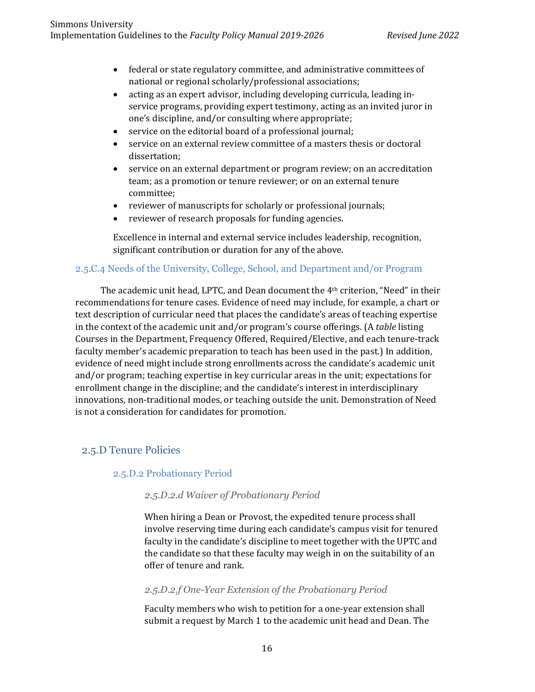- federal or state regulatory committee, and administrative committees of national or regional scholarly/professional associations;
- acting as an expert advisor, including developing curricula, leading inservice programs, providing expert testimony, acting as an invited juror in one's discipline, and/or consulting where appropriate;
- service on the editorial board of a professional journal;
- service on an external review committee of a masters thesis or doctoral dissertation;
- service on an external department or program review; on an accreditation team; as a promotion or tenure reviewer; or on an external tenure committee;
- reviewer of manuscripts for scholarly or professional journals;
- reviewer of research proposals for funding agencies.

Excellence in internal and external service includes leadership, recognition, significant contribution or duration for any of the above.

## 2.5.C.4 Needs of the University, College, School, and Department and/or Program

The academic unit head, LPTC, and Dean document the 4th criterion, "Need" in their recommendations for tenure cases. Evidence of need may include, for example, a chart or text description of curricular need that places the candidate's areas of teaching expertise in the context of the academic unit and/or program's course offerings. (A *table* listing Courses in the Department, Frequency Offered, Required/Elective, and each tenure-track faculty member's academic preparation to teach has been used in the past.) In addition, evidence of need might include strong enrollments across the candidate's academic unit and/or program; teaching expertise in key curricular areas in the unit; expectations for enrollment change in the discipline; and the candidate's interest in interdisciplinary innovations, non-traditional modes, or teaching outside the unit. Demonstration of Need is not a consideration for candidates for promotion.

## 2.5.D Tenure Policies

#### 2.5.D.2 Probationary Period

#### *2.5.D.2.d Waiver of Probationary Period*

When hiring a Dean or Provost, the expedited tenure process shall involve reserving time during each candidate's campus visit for tenured faculty in the candidate's discipline to meet together with the UPTC and the candidate so that these faculty may weigh in on the suitability of an offer of tenure and rank.

#### *2.5.D.2.f One-Year Extension of the Probationary Period*

Faculty members who wish to petition for a one-year extension shall submit a request by March 1 to the academic unit head and Dean. The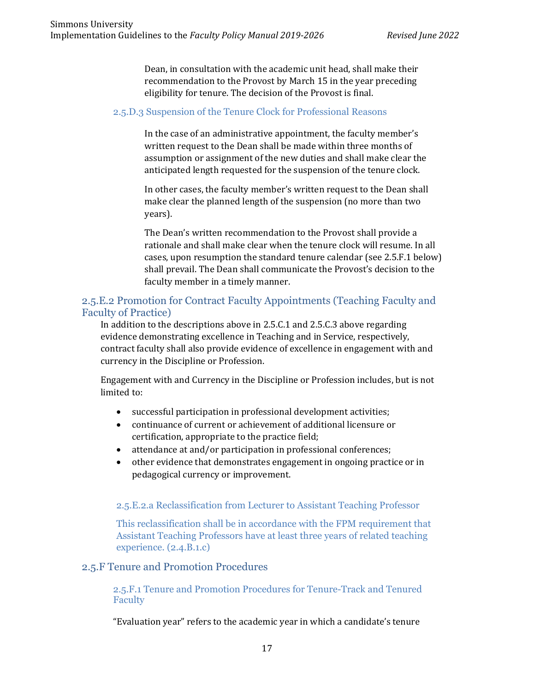Dean, in consultation with the academic unit head, shall make their recommendation to the Provost by March 15 in the year preceding eligibility for tenure. The decision of the Provost is final.

#### 2.5.D.3 Suspension of the Tenure Clock for Professional Reasons

In the case of an administrative appointment, the faculty member's written request to the Dean shall be made within three months of assumption or assignment of the new duties and shall make clear the anticipated length requested for the suspension of the tenure clock.

In other cases, the faculty member's written request to the Dean shall make clear the planned length of the suspension (no more than two years).

The Dean's written recommendation to the Provost shall provide a rationale and shall make clear when the tenure clock will resume. In all cases, upon resumption the standard tenure calendar (see 2.5.F.1 below) shall prevail. The Dean shall communicate the Provost's decision to the faculty member in a timely manner.

## 2.5.E.2 Promotion for Contract Faculty Appointments (Teaching Faculty and Faculty of Practice)

In addition to the descriptions above in 2.5.C.1 and 2.5.C.3 above regarding evidence demonstrating excellence in Teaching and in Service, respectively, contract faculty shall also provide evidence of excellence in engagement with and currency in the Discipline or Profession.

Engagement with and Currency in the Discipline or Profession includes, but is not limited to:

- successful participation in professional development activities;
- continuance of current or achievement of additional licensure or certification, appropriate to the practice field;
- attendance at and/or participation in professional conferences;
- other evidence that demonstrates engagement in ongoing practice or in pedagogical currency or improvement.

#### 2.5.E.2.a Reclassification from Lecturer to Assistant Teaching Professor

This reclassification shall be in accordance with the FPM requirement that Assistant Teaching Professors have at least three years of related teaching experience. (2.4.B.1.c)

#### 2.5.F Tenure and Promotion Procedures

2.5.F.1 Tenure and Promotion Procedures for Tenure-Track and Tenured Faculty

"Evaluation year" refers to the academic year in which a candidate's tenure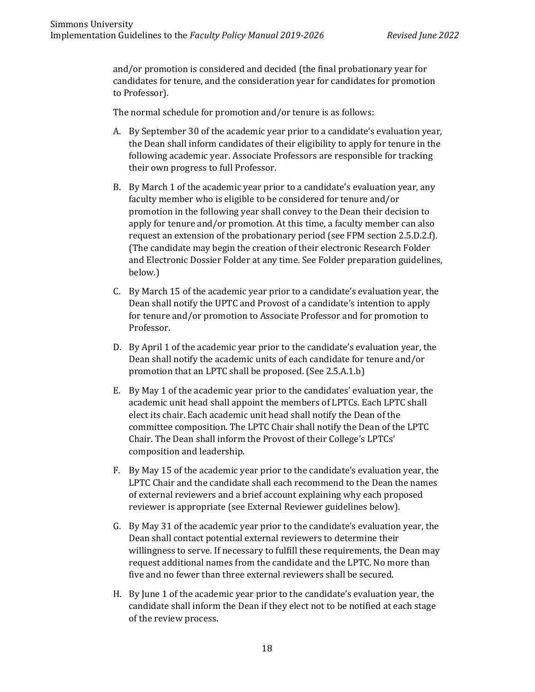and/or promotion is considered and decided (the final probationary year for candidates for tenure, and the consideration year for candidates for promotion to Professor).

The normal schedule for promotion and/or tenure is as follows:

- A. By September 30 of the academic year prior to a candidate's evaluation year, the Dean shall inform candidates of their eligibility to apply for tenure in the following academic year. Associate Professors are responsible for tracking their own progress to full Professor.
- B. By March 1 of the academic year prior to a candidate's evaluation year, any faculty member who is eligible to be considered for tenure and/or promotion in the following year shall convey to the Dean their decision to apply for tenure and/or promotion. At this time, a faculty member can also request an extension of the probationary period (see FPM section 2.5.D.2.f). (The candidate may begin the creation of their electronic Research Folder and Electronic Dossier Folder at any time. See Folder preparation guidelines, below.)
- C. By March 15 of the academic year prior to a candidate's evaluation year, the Dean shall notify the UPTC and Provost of a candidate's intention to apply for tenure and/or promotion to Associate Professor and for promotion to Professor.
- D. By April 1 of the academic year prior to the candidate's evaluation year, the Dean shall notify the academic units of each candidate for tenure and/or promotion that an LPTC shall be proposed. (See 2.5.A.1.b)
- E. By May 1 of the academic year prior to the candidates' evaluation year, the academic unit head shall appoint the members of LPTCs. Each LPTC shall elect its chair. Each academic unit head shall notify the Dean of the committee composition. The LPTC Chair shall notify the Dean of the LPTC Chair. The Dean shall inform the Provost of their College's LPTCs' composition and leadership.
- F. By May 15 of the academic year prior to the candidate's evaluation year, the LPTC Chair and the candidate shall each recommend to the Dean the names of external reviewers and a brief account explaining why each proposed reviewer is appropriate (see External Reviewer guidelines below).
- G. By May 31 of the academic year prior to the candidate's evaluation year, the Dean shall contact potential external reviewers to determine their willingness to serve. If necessary to fulfill these requirements, the Dean may request additional names from the candidate and the LPTC. No more than five and no fewer than three external reviewers shall be secured.
- H. By June 1 of the academic year prior to the candidate's evaluation year, the candidate shall inform the Dean if they elect not to be notified at each stage of the review process.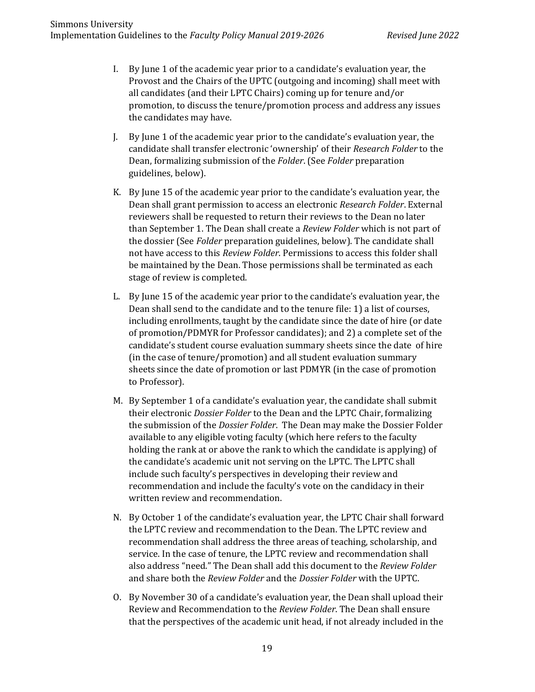- I. By June 1 of the academic year prior to a candidate's evaluation year, the Provost and the Chairs of the UPTC (outgoing and incoming) shall meet with all candidates (and their LPTC Chairs) coming up for tenure and/or promotion, to discuss the tenure/promotion process and address any issues the candidates may have.
- J. By June 1 of the academic year prior to the candidate's evaluation year, the candidate shall transfer electronic 'ownership' of their *Research Folder* to the Dean, formalizing submission of the *Folder*. (See *Folder* preparation guidelines, below).
- K. By June 15 of the academic year prior to the candidate's evaluation year, the Dean shall grant permission to access an electronic *Research Folder*. External reviewers shall be requested to return their reviews to the Dean no later than September 1. The Dean shall create a *Review Folder* which is not part of the dossier (See *Folder* preparation guidelines, below). The candidate shall not have access to this *Review Folder*. Permissions to access this folder shall be maintained by the Dean. Those permissions shall be terminated as each stage of review is completed.
- L. By June 15 of the academic year prior to the candidate's evaluation year, the Dean shall send to the candidate and to the tenure file: 1) a list of courses, including enrollments, taught by the candidate since the date of hire (or date of promotion/PDMYR for Professor candidates); and 2) a complete set of the candidate's student course evaluation summary sheets since the date of hire (in the case of tenure/promotion) and all student evaluation summary sheets since the date of promotion or last PDMYR (in the case of promotion to Professor).
- M. By September 1 of a candidate's evaluation year, the candidate shall submit their electronic *Dossier Folder* to the Dean and the LPTC Chair, formalizing the submission of the *Dossier Folder*. The Dean may make the Dossier Folder available to any eligible voting faculty (which here refers to the faculty holding the rank at or above the rank to which the candidate is applying) of the candidate's academic unit not serving on the LPTC. The LPTC shall include such faculty's perspectives in developing their review and recommendation and include the faculty's vote on the candidacy in their written review and recommendation.
- N. By October 1 of the candidate's evaluation year, the LPTC Chair shall forward the LPTC review and recommendation to the Dean. The LPTC review and recommendation shall address the three areas of teaching, scholarship, and service. In the case of tenure, the LPTC review and recommendation shall also address "need." The Dean shall add this document to the *Review Folder* and share both the *Review Folder* and the *Dossier Folder* with the UPTC.
- O. By November 30 of a candidate's evaluation year, the Dean shall upload their Review and Recommendation to the *Review Folder*. The Dean shall ensure that the perspectives of the academic unit head, if not already included in the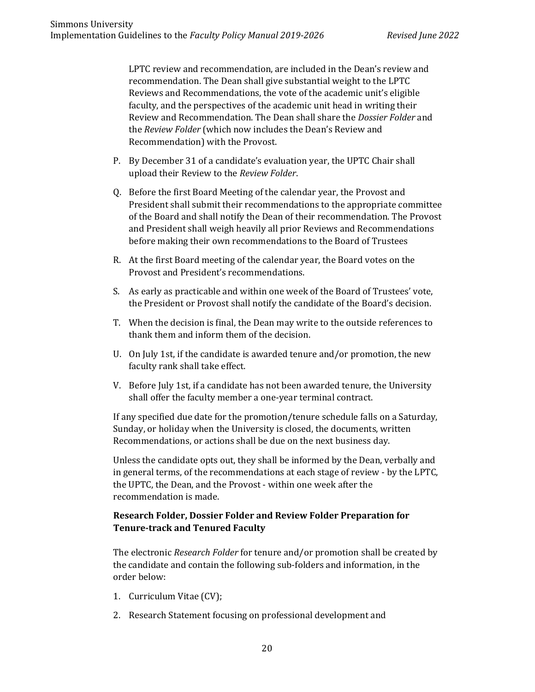LPTC review and recommendation, are included in the Dean's review and recommendation. The Dean shall give substantial weight to the LPTC Reviews and Recommendations, the vote of the academic unit's eligible faculty, and the perspectives of the academic unit head in writing their Review and Recommendation. The Dean shall share the *Dossier Folder* and the *Review Folder* (which now includes the Dean's Review and Recommendation) with the Provost.

- P. By December 31 of a candidate's evaluation year, the UPTC Chair shall upload their Review to the *Review Folder*.
- Q. Before the first Board Meeting of the calendar year, the Provost and President shall submit their recommendations to the appropriate committee of the Board and shall notify the Dean of their recommendation. The Provost and President shall weigh heavily all prior Reviews and Recommendations before making their own recommendations to the Board of Trustees
- R. At the first Board meeting of the calendar year, the Board votes on the Provost and President's recommendations.
- S. As early as practicable and within one week of the Board of Trustees' vote, the President or Provost shall notify the candidate of the Board's decision.
- T. When the decision is final, the Dean may write to the outside references to thank them and inform them of the decision.
- U. On July 1st, if the candidate is awarded tenure and/or promotion, the new faculty rank shall take effect.
- V. Before July 1st, if a candidate has not been awarded tenure, the University shall offer the faculty member a one-year terminal contract.

If any specified due date for the promotion/tenure schedule falls on a Saturday, Sunday, or holiday when the University is closed, the documents, written Recommendations, or actions shall be due on the next business day.

Unless the candidate opts out, they shall be informed by the Dean, verbally and in general terms, of the recommendations at each stage of review - by the LPTC, the UPTC, the Dean, and the Provost - within one week after the recommendation is made.

## **Research Folder, Dossier Folder and Review Folder Preparation for Tenure-track and Tenured Faculty**

The electronic *Research Folder* for tenure and/or promotion shall be created by the candidate and contain the following sub-folders and information, in the order below:

- 1. Curriculum Vitae (CV);
- 2. Research Statement focusing on professional development and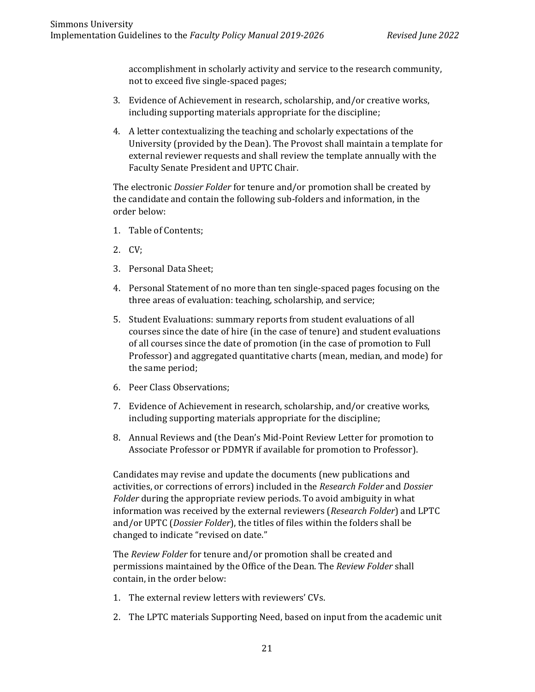accomplishment in scholarly activity and service to the research community, not to exceed five single-spaced pages;

- 3. Evidence of Achievement in research, scholarship, and/or creative works, including supporting materials appropriate for the discipline;
- 4. A letter contextualizing the teaching and scholarly expectations of the University (provided by the Dean). The Provost shall maintain a template for external reviewer requests and shall review the template annually with the Faculty Senate President and UPTC Chair.

The electronic *Dossier Folder* for tenure and/or promotion shall be created by the candidate and contain the following sub-folders and information, in the order below:

- 1. Table of Contents;
- 2. CV;
- 3. Personal Data Sheet;
- 4. Personal Statement of no more than ten single-spaced pages focusing on the three areas of evaluation: teaching, scholarship, and service;
- 5. Student Evaluations: summary reports from student evaluations of all courses since the date of hire (in the case of tenure) and student evaluations of all courses since the date of promotion (in the case of promotion to Full Professor) and aggregated quantitative charts (mean, median, and mode) for the same period;
- 6. Peer Class Observations;
- 7. Evidence of Achievement in research, scholarship, and/or creative works, including supporting materials appropriate for the discipline;
- 8. Annual Reviews and (the Dean's Mid-Point Review Letter for promotion to Associate Professor or PDMYR if available for promotion to Professor).

Candidates may revise and update the documents (new publications and activities, or corrections of errors) included in the *Research Folder* and *Dossier Folder* during the appropriate review periods. To avoid ambiguity in what information was received by the external reviewers (*Research Folder*) and LPTC and/or UPTC (*Dossier Folder*), the titles of files within the folders shall be changed to indicate "revised on date."

The *Review Folder* for tenure and/or promotion shall be created and permissions maintained by the Office of the Dean. The *Review Folder* shall contain, in the order below:

- 1. The external review letters with reviewers' CVs.
- 2. The LPTC materials Supporting Need, based on input from the academic unit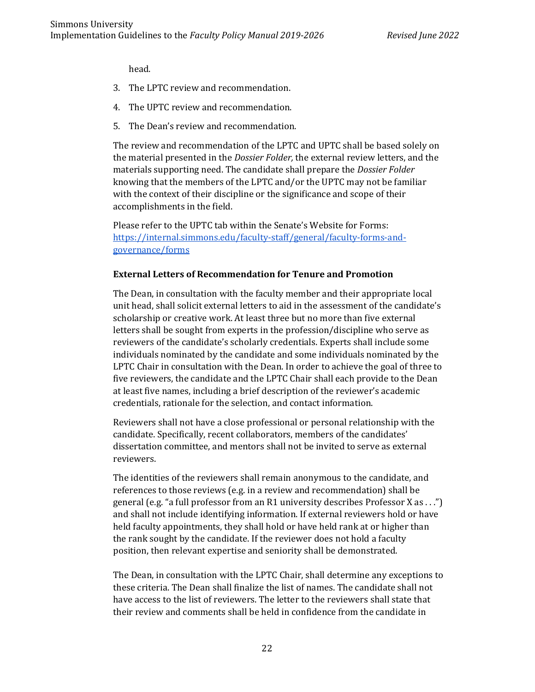head.

- 3. The LPTC review and recommendation.
- 4. The UPTC review and recommendation.
- 5. The Dean's review and recommendation.

The review and recommendation of the LPTC and UPTC shall be based solely on the material presented in the *Dossier Folder,* the external review letters, and the materials supporting need. The candidate shall prepare the *Dossier Folder* knowing that the members of the LPTC and/or the UPTC may not be familiar with the context of their discipline or the significance and scope of their accomplishments in the field.

Please refer to the UPTC tab within the Senate's Website for Forms: [https://internal.simmons.edu/faculty-staff/general/faculty-forms-and](https://internal.simmons.edu/faculty-staff/general/faculty-forms-and-governance/forms)[governance/forms](https://internal.simmons.edu/faculty-staff/general/faculty-forms-and-governance/forms)

#### **External Letters of Recommendation for Tenure and Promotion**

The Dean, in consultation with the faculty member and their appropriate local unit head, shall solicit external letters to aid in the assessment of the candidate's scholarship or creative work. At least three but no more than five external letters shall be sought from experts in the profession/discipline who serve as reviewers of the candidate's scholarly credentials. Experts shall include some individuals nominated by the candidate and some individuals nominated by the LPTC Chair in consultation with the Dean. In order to achieve the goal of three to five reviewers, the candidate and the LPTC Chair shall each provide to the Dean at least five names, including a brief description of the reviewer's academic credentials, rationale for the selection, and contact information.

Reviewers shall not have a close professional or personal relationship with the candidate. Specifically, recent collaborators, members of the candidates' dissertation committee, and mentors shall not be invited to serve as external reviewers.

The identities of the reviewers shall remain anonymous to the candidate, and references to those reviews (e.g. in a review and recommendation) shall be general (e.g. "a full professor from an R1 university describes Professor X as . . .") and shall not include identifying information. If external reviewers hold or have held faculty appointments, they shall hold or have held rank at or higher than the rank sought by the candidate. If the reviewer does not hold a faculty position, then relevant expertise and seniority shall be demonstrated.

The Dean, in consultation with the LPTC Chair, shall determine any exceptions to these criteria. The Dean shall finalize the list of names. The candidate shall not have access to the list of reviewers. The letter to the reviewers shall state that their review and comments shall be held in confidence from the candidate in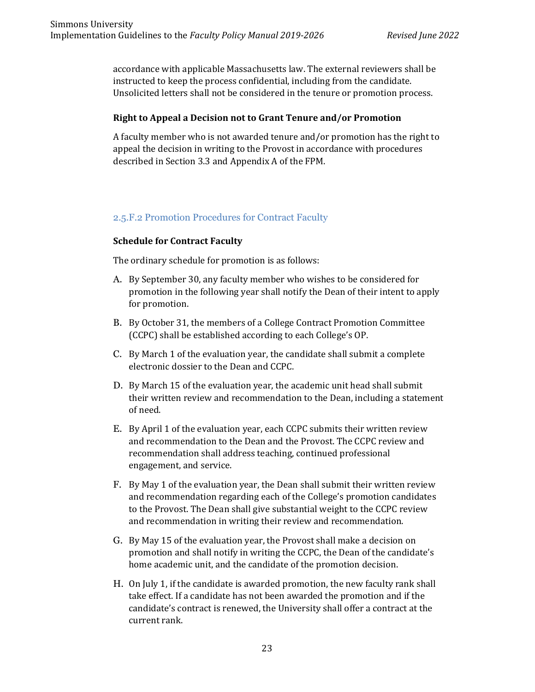accordance with applicable Massachusetts law. The external reviewers shall be instructed to keep the process confidential, including from the candidate. Unsolicited letters shall not be considered in the tenure or promotion process.

#### **Right to Appeal a Decision not to Grant Tenure and/or Promotion**

A faculty member who is not awarded tenure and/or promotion has the right to appeal the decision in writing to the Provost in accordance with procedures described in Section 3.3 and Appendix A of the FPM.

## 2.5.F.2 Promotion Procedures for Contract Faculty

## **Schedule for Contract Faculty**

The ordinary schedule for promotion is as follows:

- A. By September 30, any faculty member who wishes to be considered for promotion in the following year shall notify the Dean of their intent to apply for promotion.
- B. By October 31, the members of a College Contract Promotion Committee (CCPC) shall be established according to each College's OP.
- C. By March 1 of the evaluation year, the candidate shall submit a complete electronic dossier to the Dean and CCPC.
- D. By March 15 of the evaluation year, the academic unit head shall submit their written review and recommendation to the Dean, including a statement of need.
- E. By April 1 of the evaluation year, each CCPC submits their written review and recommendation to the Dean and the Provost. The CCPC review and recommendation shall address teaching, continued professional engagement, and service.
- F. By May 1 of the evaluation year, the Dean shall submit their written review and recommendation regarding each of the College's promotion candidates to the Provost. The Dean shall give substantial weight to the CCPC review and recommendation in writing their review and recommendation.
- G. By May 15 of the evaluation year, the Provost shall make a decision on promotion and shall notify in writing the CCPC, the Dean of the candidate's home academic unit, and the candidate of the promotion decision.
- H. On July 1, if the candidate is awarded promotion, the new faculty rank shall take effect. If a candidate has not been awarded the promotion and if the candidate's contract is renewed, the University shall offer a contract at the current rank.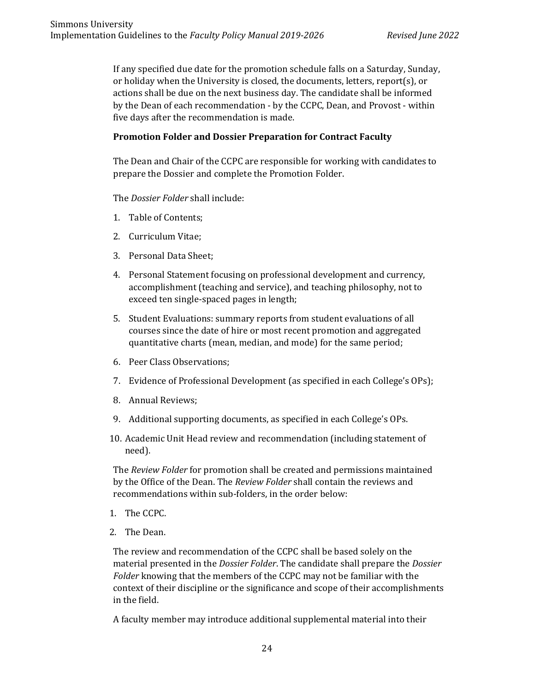If any specified due date for the promotion schedule falls on a Saturday, Sunday, or holiday when the University is closed, the documents, letters, report(s), or actions shall be due on the next business day. The candidate shall be informed by the Dean of each recommendation - by the CCPC, Dean, and Provost - within five days after the recommendation is made.

#### **Promotion Folder and Dossier Preparation for Contract Faculty**

The Dean and Chair of the CCPC are responsible for working with candidates to prepare the Dossier and complete the Promotion Folder.

The *Dossier Folder* shall include:

- 1. Table of Contents;
- 2. Curriculum Vitae;
- 3. Personal Data Sheet;
- 4. Personal Statement focusing on professional development and currency, accomplishment (teaching and service), and teaching philosophy, not to exceed ten single-spaced pages in length;
- 5. Student Evaluations: summary reports from student evaluations of all courses since the date of hire or most recent promotion and aggregated quantitative charts (mean, median, and mode) for the same period;
- 6. Peer Class Observations;
- 7. Evidence of Professional Development (as specified in each College's OPs);
- 8. Annual Reviews;
- 9. Additional supporting documents, as specified in each College's OPs.
- 10. Academic Unit Head review and recommendation (including statement of need).

The *Review Folder* for promotion shall be created and permissions maintained by the Office of the Dean. The *Review Folder* shall contain the reviews and recommendations within sub-folders, in the order below:

- 1. The CCPC.
- 2. The Dean.

The review and recommendation of the CCPC shall be based solely on the material presented in the *Dossier Folder*. The candidate shall prepare the *Dossier Folder* knowing that the members of the CCPC may not be familiar with the context of their discipline or the significance and scope of their accomplishments in the field.

A faculty member may introduce additional supplemental material into their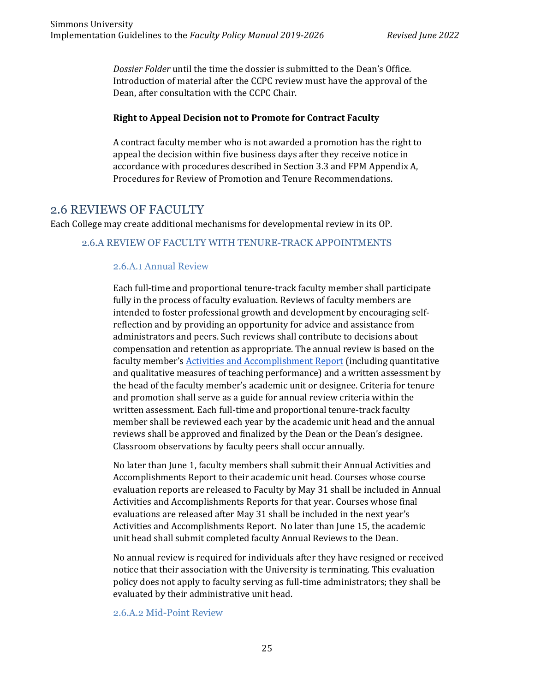*Dossier Folder* until the time the dossier is submitted to the Dean's Office. Introduction of material after the CCPC review must have the approval of the Dean, after consultation with the CCPC Chair.

#### **Right to Appeal Decision not to Promote for Contract Faculty**

A contract faculty member who is not awarded a promotion has the right to appeal the decision within five business days after they receive notice in accordance with procedures described in Section 3.3 and FPM Appendix A, Procedures for Review of Promotion and Tenure Recommendations.

## 2.6 REVIEWS OF FACULTY

Each College may create additional mechanisms for developmental review in its OP.

#### 2.6.A REVIEW OF FACULTY WITH TENURE-TRACK APPOINTMENTS

## 2.6.A.1 Annual Review

Each full-time and proportional tenure-track faculty member shall participate fully in the process of faculty evaluation. Reviews of faculty members are intended to foster professional growth and development by encouraging selfreflection and by providing an opportunity for advice and assistance from administrators and peers. Such reviews shall contribute to decisions about compensation and retention as appropriate. The annual review is based on the faculty member's [Activities and Accomplishment Report](https://internal.simmons.edu/faculty-staff/general/faculty-forms-and-governance/forms) (including quantitative and qualitative measures of teaching performance) and a written assessment by the head of the faculty member's academic unit or designee. Criteria for tenure and promotion shall serve as a guide for annual review criteria within the written assessment. Each full-time and proportional tenure-track faculty member shall be reviewed each year by the academic unit head and the annual reviews shall be approved and finalized by the Dean or the Dean's designee. Classroom observations by faculty peers shall occur annually.

No later than June 1, faculty members shall submit their Annual Activities and Accomplishments Report to their academic unit head. Courses whose course evaluation reports are released to Faculty by May 31 shall be included in Annual Activities and Accomplishments Reports for that year. Courses whose final evaluations are released after May 31 shall be included in the next year's Activities and Accomplishments Report. No later than June 15, the academic unit head shall submit completed faculty Annual Reviews to the Dean.

No annual review is required for individuals after they have resigned or received notice that their association with the University is terminating. This evaluation policy does not apply to faculty serving as full-time administrators; they shall be evaluated by their administrative unit head.

#### 2.6.A.2 Mid-Point Review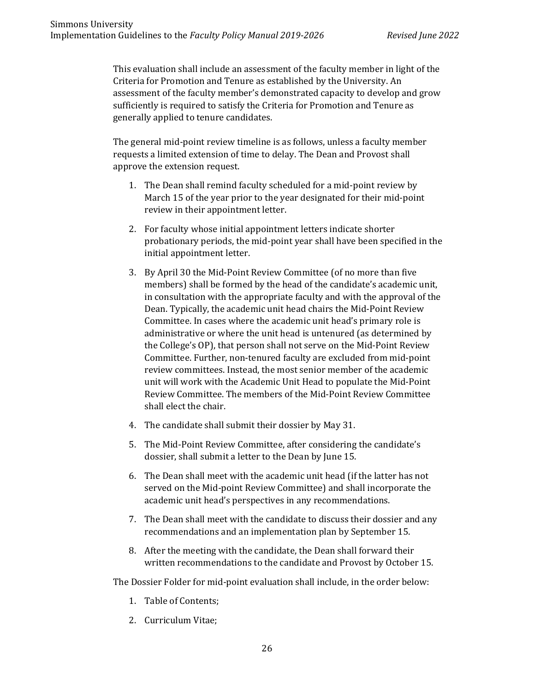This evaluation shall include an assessment of the faculty member in light of the Criteria for Promotion and Tenure as established by the University. An assessment of the faculty member's demonstrated capacity to develop and grow sufficiently is required to satisfy the Criteria for Promotion and Tenure as generally applied to tenure candidates.

The general mid-point review timeline is as follows, unless a faculty member requests a limited extension of time to delay. The Dean and Provost shall approve the extension request.

- 1. The Dean shall remind faculty scheduled for a mid-point review by March 15 of the year prior to the year designated for their mid-point review in their appointment letter.
- 2. For faculty whose initial appointment letters indicate shorter probationary periods, the mid-point year shall have been specified in the initial appointment letter.
- 3. By April 30 the Mid-Point Review Committee (of no more than five members) shall be formed by the head of the candidate's academic unit, in consultation with the appropriate faculty and with the approval of the Dean. Typically, the academic unit head chairs the Mid-Point Review Committee. In cases where the academic unit head's primary role is administrative or where the unit head is untenured (as determined by the College's OP), that person shall not serve on the Mid-Point Review Committee. Further, non-tenured faculty are excluded from mid-point review committees. Instead, the most senior member of the academic unit will work with the Academic Unit Head to populate the Mid-Point Review Committee. The members of the Mid-Point Review Committee shall elect the chair.
- 4. The candidate shall submit their dossier by May 31.
- 5. The Mid-Point Review Committee, after considering the candidate's dossier, shall submit a letter to the Dean by June 15.
- 6. The Dean shall meet with the academic unit head (if the latter has not served on the Mid-point Review Committee) and shall incorporate the academic unit head's perspectives in any recommendations.
- 7. The Dean shall meet with the candidate to discuss their dossier and any recommendations and an implementation plan by September 15.
- 8. After the meeting with the candidate, the Dean shall forward their written recommendations to the candidate and Provost by October 15.

The Dossier Folder for mid-point evaluation shall include, in the order below:

- 1. Table of Contents;
- 2. Curriculum Vitae;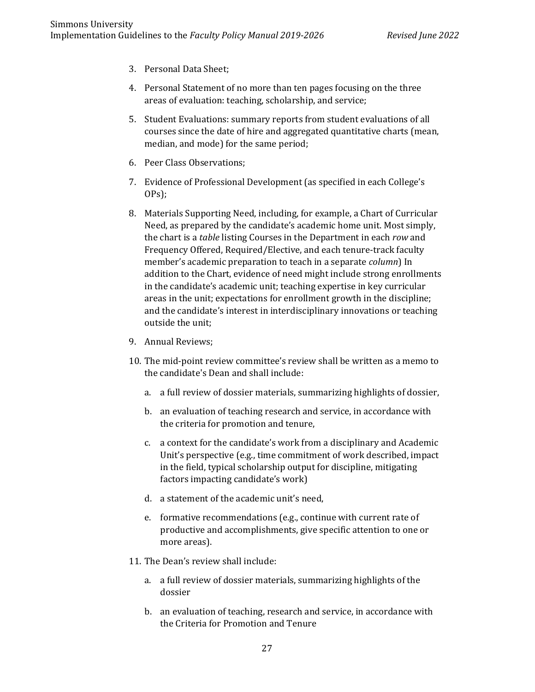- 3. Personal Data Sheet;
- 4. Personal Statement of no more than ten pages focusing on the three areas of evaluation: teaching, scholarship, and service;
- 5. Student Evaluations: summary reports from student evaluations of all courses since the date of hire and aggregated quantitative charts (mean, median, and mode) for the same period;
- 6. Peer Class Observations;
- 7. Evidence of Professional Development (as specified in each College's OPs);
- 8. Materials Supporting Need, including, for example, a Chart of Curricular Need, as prepared by the candidate's academic home unit. Most simply, the chart is a *table* listing Courses in the Department in each *row* and Frequency Offered, Required/Elective, and each tenure-track faculty member's academic preparation to teach in a separate *column*) In addition to the Chart, evidence of need might include strong enrollments in the candidate's academic unit; teaching expertise in key curricular areas in the unit; expectations for enrollment growth in the discipline; and the candidate's interest in interdisciplinary innovations or teaching outside the unit;
- 9. Annual Reviews;
- 10. The mid-point review committee's review shall be written as a memo to the candidate's Dean and shall include:
	- a. a full review of dossier materials, summarizing highlights of dossier,
	- b. an evaluation of teaching research and service, in accordance with the criteria for promotion and tenure,
	- c. a context for the candidate's work from a disciplinary and Academic Unit's perspective (e.g., time commitment of work described, impact in the field, typical scholarship output for discipline, mitigating factors impacting candidate's work)
	- d. a statement of the academic unit's need,
	- e. formative recommendations (e.g., continue with current rate of productive and accomplishments, give specific attention to one or more areas).
- 11. The Dean's review shall include:
	- a. a full review of dossier materials, summarizing highlights of the dossier
	- b. an evaluation of teaching, research and service, in accordance with the Criteria for Promotion and Tenure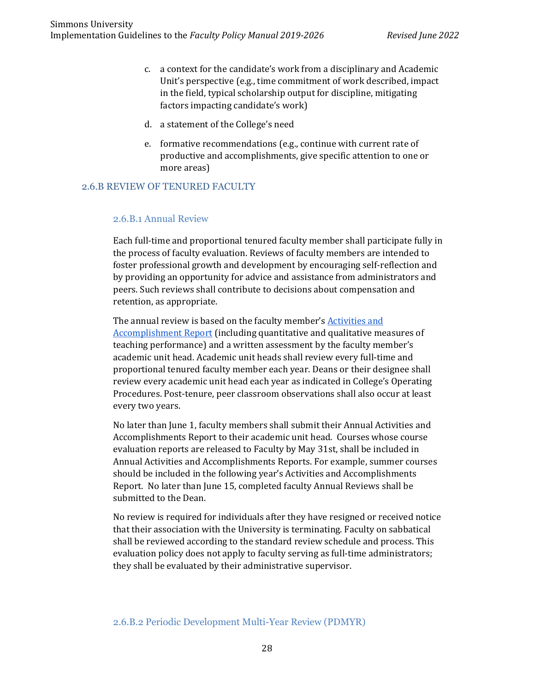- c. a context for the candidate's work from a disciplinary and Academic Unit's perspective (e.g., time commitment of work described, impact in the field, typical scholarship output for discipline, mitigating factors impacting candidate's work)
- d. a statement of the College's need
- e. formative recommendations (e.g., continue with current rate of productive and accomplishments, give specific attention to one or more areas)

#### 2.6.B REVIEW OF TENURED FACULTY

#### 2.6.B.1 Annual Review

Each full-time and proportional tenured faculty member shall participate fully in the process of faculty evaluation. Reviews of faculty members are intended to foster professional growth and development by encouraging self-reflection and by providing an opportunity for advice and assistance from administrators and peers. Such reviews shall contribute to decisions about compensation and retention, as appropriate.

The annual review is based on the faculty member's Activities and [Accomplishment Report](https://internal.simmons.edu/faculty-staff/general/faculty-forms-and-governance/forms) (including quantitative and qualitative measures of teaching performance) and a written assessment by the faculty member's academic unit head. Academic unit heads shall review every full-time and proportional tenured faculty member each year. Deans or their designee shall review every academic unit head each year as indicated in College's Operating Procedures. Post-tenure, peer classroom observations shall also occur at least every two years.

No later than June 1, faculty members shall submit their Annual Activities and Accomplishments Report to their academic unit head. Courses whose course evaluation reports are released to Faculty by May 31st, shall be included in Annual Activities and Accomplishments Reports. For example, summer courses should be included in the following year's Activities and Accomplishments Report. No later than June 15, completed faculty Annual Reviews shall be submitted to the Dean.

No review is required for individuals after they have resigned or received notice that their association with the University is terminating. Faculty on sabbatical shall be reviewed according to the standard review schedule and process. This evaluation policy does not apply to faculty serving as full-time administrators; they shall be evaluated by their administrative supervisor.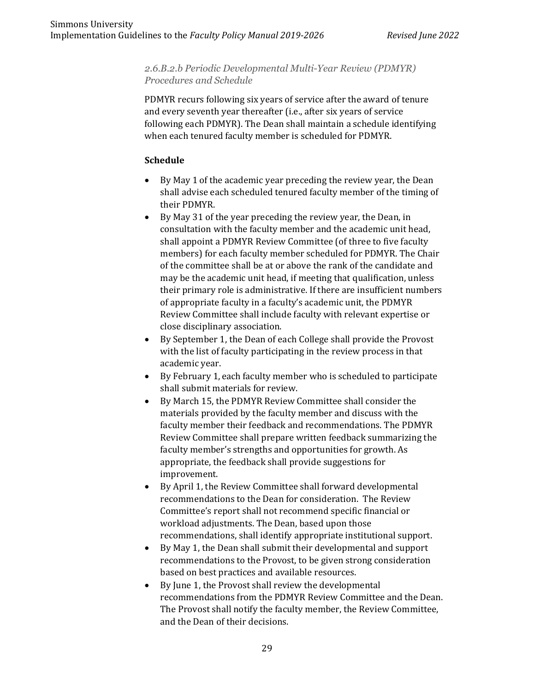### *2.6.B.2.b Periodic Developmental Multi-Year Review (PDMYR) Procedures and Schedule*

PDMYR recurs following six years of service after the award of tenure and every seventh year thereafter (i.e., after six years of service following each PDMYR). The Dean shall maintain a schedule identifying when each tenured faculty member is scheduled for PDMYR.

## **Schedule**

- By May 1 of the academic year preceding the review year, the Dean shall advise each scheduled tenured faculty member of the timing of their PDMYR.
- By May 31 of the year preceding the review year, the Dean, in consultation with the faculty member and the academic unit head, shall appoint a PDMYR Review Committee (of three to five faculty members) for each faculty member scheduled for PDMYR. The Chair of the committee shall be at or above the rank of the candidate and may be the academic unit head, if meeting that qualification, unless their primary role is administrative. If there are insufficient numbers of appropriate faculty in a faculty's academic unit, the PDMYR Review Committee shall include faculty with relevant expertise or close disciplinary association.
- By September 1, the Dean of each College shall provide the Provost with the list of faculty participating in the review process in that academic year.
- By February 1, each faculty member who is scheduled to participate shall submit materials for review.
- By March 15, the PDMYR Review Committee shall consider the materials provided by the faculty member and discuss with the faculty member their feedback and recommendations. The PDMYR Review Committee shall prepare written feedback summarizing the faculty member's strengths and opportunities for growth. As appropriate, the feedback shall provide suggestions for improvement.
- By April 1, the Review Committee shall forward developmental recommendations to the Dean for consideration. The Review Committee's report shall not recommend specific financial or workload adjustments. The Dean, based upon those recommendations, shall identify appropriate institutional support.
- By May 1, the Dean shall submit their developmental and support recommendations to the Provost, to be given strong consideration based on best practices and available resources.
- By June 1, the Provost shall review the developmental recommendations from the PDMYR Review Committee and the Dean. The Provost shall notify the faculty member, the Review Committee, and the Dean of their decisions.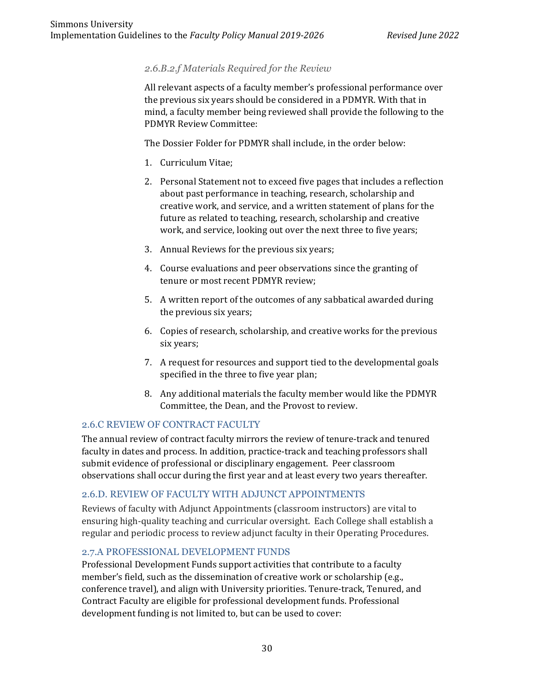## *2.6.B.2.f Materials Required for the Review*

All relevant aspects of a faculty member's professional performance over the previous six years should be considered in a PDMYR. With that in mind, a faculty member being reviewed shall provide the following to the PDMYR Review Committee:

The Dossier Folder for PDMYR shall include, in the order below:

- 1. Curriculum Vitae;
- 2. Personal Statement not to exceed five pages that includes a reflection about past performance in teaching, research, scholarship and creative work, and service, and a written statement of plans for the future as related to teaching, research, scholarship and creative work, and service, looking out over the next three to five years;
- 3. Annual Reviews for the previous six years;
- 4. Course evaluations and peer observations since the granting of tenure or most recent PDMYR review;
- 5. A written report of the outcomes of any sabbatical awarded during the previous six years;
- 6. Copies of research, scholarship, and creative works for the previous six years;
- 7. A request for resources and support tied to the developmental goals specified in the three to five year plan;
- 8. Any additional materials the faculty member would like the PDMYR Committee, the Dean, and the Provost to review.

## 2.6.C REVIEW OF CONTRACT FACULTY

The annual review of contract faculty mirrors the review of tenure-track and tenured faculty in dates and process. In addition, practice-track and teaching professors shall submit evidence of professional or disciplinary engagement. Peer classroom observations shall occur during the first year and at least every two years thereafter.

#### 2.6.D. REVIEW OF FACULTY WITH ADJUNCT APPOINTMENTS

Reviews of faculty with Adjunct Appointments (classroom instructors) are vital to ensuring high-quality teaching and curricular oversight. Each College shall establish a regular and periodic process to review adjunct faculty in their Operating Procedures.

#### 2.7.A PROFESSIONAL DEVELOPMENT FUNDS

Professional Development Funds support activities that contribute to a faculty member's field, such as the dissemination of creative work or scholarship (e.g., conference travel), and align with University priorities. Tenure-track, Tenured, and Contract Faculty are eligible for professional development funds. Professional development funding is not limited to, but can be used to cover: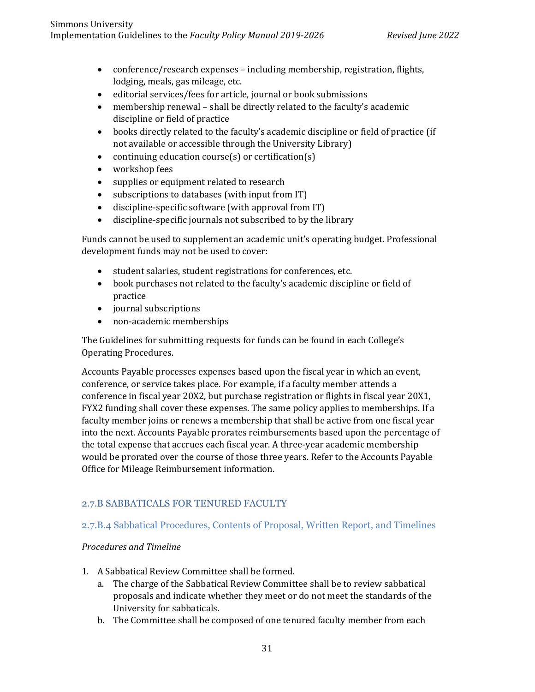- conference/research expenses including membership, registration, flights, lodging, meals, gas mileage, etc.
- editorial services/fees for article, journal or book submissions
- membership renewal shall be directly related to the faculty's academic discipline or field of practice
- books directly related to the faculty's academic discipline or field of practice (if not available or accessible through the University Library)
- continuing education course(s) or certification(s)
- workshop fees
- supplies or equipment related to research
- subscriptions to databases (with input from IT)
- discipline-specific software (with approval from IT)
- discipline-specific journals not subscribed to by the library

Funds cannot be used to supplement an academic unit's operating budget. Professional development funds may not be used to cover:

- student salaries, student registrations for conferences, etc.
- book purchases not related to the faculty's academic discipline or field of practice
- journal subscriptions
- non-academic memberships

The Guidelines for submitting requests for funds can be found in each College's Operating Procedures.

Accounts Payable processes expenses based upon the fiscal year in which an event, conference, or service takes place. For example, if a faculty member attends a conference in fiscal year 20X2, but purchase registration or flights in fiscal year 20X1, FYX2 funding shall cover these expenses. The same policy applies to memberships. If a faculty member joins or renews a membership that shall be active from one fiscal year into the next. Accounts Payable prorates reimbursements based upon the percentage of the total expense that accrues each fiscal year. A three-year academic membership would be prorated over the course of those three years. Refer to the Accounts Payable Office for Mileage Reimbursement information.

## 2.7.B SABBATICALS FOR TENURED FACULTY

#### 2.7.B.4 Sabbatical Procedures, Contents of Proposal, Written Report, and Timelines

#### *Procedures and Timeline*

- 1. A Sabbatical Review Committee shall be formed.
	- a. The charge of the Sabbatical Review Committee shall be to review sabbatical proposals and indicate whether they meet or do not meet the standards of the University for sabbaticals.
	- b. The Committee shall be composed of one tenured faculty member from each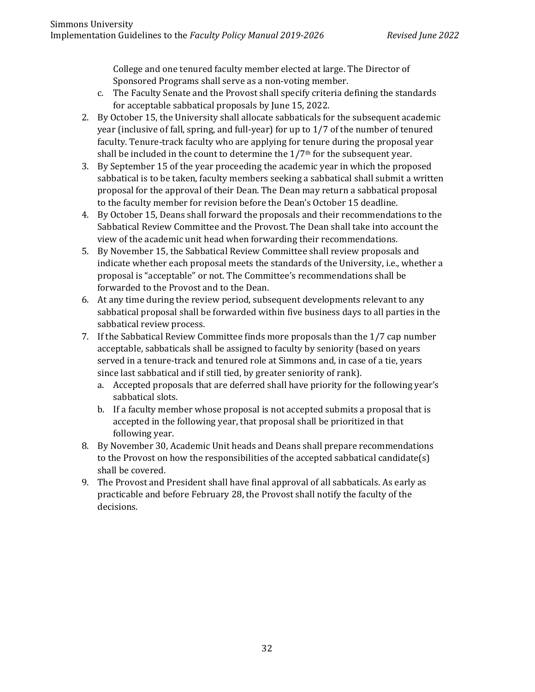College and one tenured faculty member elected at large. The Director of Sponsored Programs shall serve as a non-voting member.

- c. The Faculty Senate and the Provost shall specify criteria defining the standards for acceptable sabbatical proposals by June 15, 2022.
- 2. By October 15, the University shall allocate sabbaticals for the subsequent academic year (inclusive of fall, spring, and full-year) for up to 1/7 of the number of tenured faculty. Tenure-track faculty who are applying for tenure during the proposal year shall be included in the count to determine the 1/7<sup>th</sup> for the subsequent year.
- 3. By September 15 of the year proceeding the academic year in which the proposed sabbatical is to be taken, faculty members seeking a sabbatical shall submit a written proposal for the approval of their Dean. The Dean may return a sabbatical proposal to the faculty member for revision before the Dean's October 15 deadline.
- 4. By October 15, Deans shall forward the proposals and their recommendations to the Sabbatical Review Committee and the Provost. The Dean shall take into account the view of the academic unit head when forwarding their recommendations.
- 5. By November 15, the Sabbatical Review Committee shall review proposals and indicate whether each proposal meets the standards of the University, i.e., whether a proposal is "acceptable" or not. The Committee's recommendations shall be forwarded to the Provost and to the Dean.
- 6. At any time during the review period, subsequent developments relevant to any sabbatical proposal shall be forwarded within five business days to all parties in the sabbatical review process.
- 7. If the Sabbatical Review Committee finds more proposals than the 1/7 cap number acceptable, sabbaticals shall be assigned to faculty by seniority (based on years served in a tenure-track and tenured role at Simmons and, in case of a tie, years since last sabbatical and if still tied, by greater seniority of rank).
	- a. Accepted proposals that are deferred shall have priority for the following year's sabbatical slots.
	- b. If a faculty member whose proposal is not accepted submits a proposal that is accepted in the following year, that proposal shall be prioritized in that following year.
- 8. By November 30, Academic Unit heads and Deans shall prepare recommendations to the Provost on how the responsibilities of the accepted sabbatical candidate(s) shall be covered.
- 9. The Provost and President shall have final approval of all sabbaticals. As early as practicable and before February 28, the Provost shall notify the faculty of the decisions.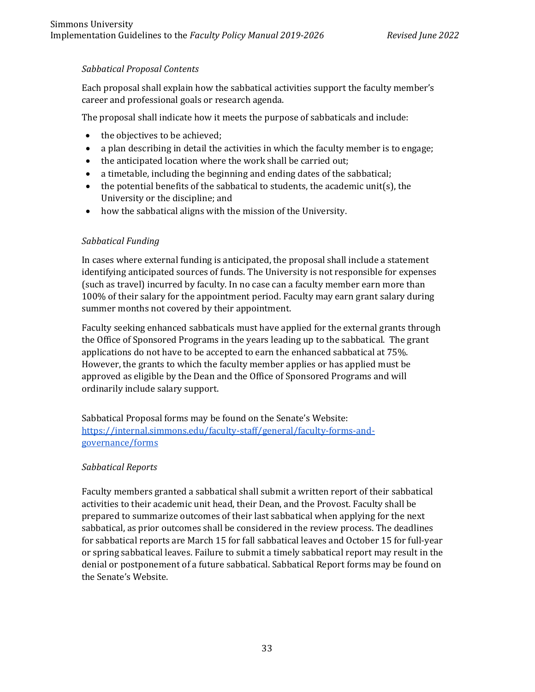## *Sabbatical Proposal Contents*

Each proposal shall explain how the sabbatical activities support the faculty member's career and professional goals or research agenda.

The proposal shall indicate how it meets the purpose of sabbaticals and include:

- the objectives to be achieved;
- a plan describing in detail the activities in which the faculty member is to engage;
- the anticipated location where the work shall be carried out;
- a timetable, including the beginning and ending dates of the sabbatical;
- the potential benefits of the sabbatical to students, the academic unit(s), the University or the discipline; and
- how the sabbatical aligns with the mission of the University.

## *Sabbatical Funding*

In cases where external funding is anticipated, the proposal shall include a statement identifying anticipated sources of funds. The University is not responsible for expenses (such as travel) incurred by faculty. In no case can a faculty member earn more than 100% of their salary for the appointment period. Faculty may earn grant salary during summer months not covered by their appointment.

Faculty seeking enhanced sabbaticals must have applied for the external grants through the Office of Sponsored Programs in the years leading up to the sabbatical. The grant applications do not have to be accepted to earn the enhanced sabbatical at 75%. However, the grants to which the faculty member applies or has applied must be approved as eligible by the Dean and the Office of Sponsored Programs and will ordinarily include salary support.

Sabbatical Proposal forms may be found on the Senate's Website: [https://internal.simmons.edu/faculty-staff/general/faculty-forms-and](https://internal.simmons.edu/faculty-staff/general/faculty-forms-and-governance/forms)[governance/forms](https://internal.simmons.edu/faculty-staff/general/faculty-forms-and-governance/forms)

#### *Sabbatical Reports*

Faculty members granted a sabbatical shall submit a written report of their sabbatical activities to their academic unit head, their Dean, and the Provost. Faculty shall be prepared to summarize outcomes of their last sabbatical when applying for the next sabbatical, as prior outcomes shall be considered in the review process. The deadlines for sabbatical reports are March 15 for fall sabbatical leaves and October 15 for full-year or spring sabbatical leaves. Failure to submit a timely sabbatical report may result in the denial or postponement of a future sabbatical. Sabbatical Report forms may be found on the Senate's Website.